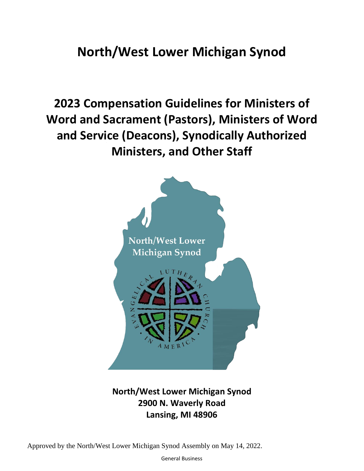# **North/West Lower Michigan Synod**

**2023 Compensation Guidelines for Ministers of Word and Sacrament (Pastors), Ministers of Word and Service (Deacons), Synodically Authorized Ministers, and Other Staff**



## **North/West Lower Michigan Synod 2900 N. Waverly Road Lansing, MI 48906**

Approved by the North/West Lower Michigan Synod Assembly on May 14, 2022.

General Business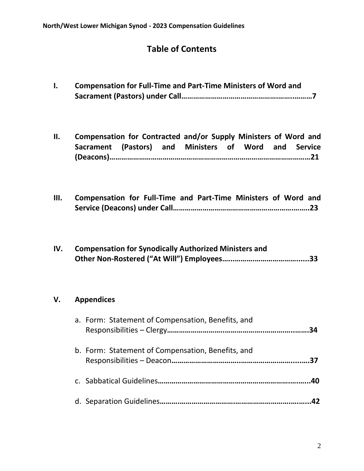## **Table of Contents**

- **I. Compensation for Full-Time and Part-Time Ministers of Word and Sacrament (Pastors) under Call………………………………………….……..………7**
- **II. Compensation for Contracted and/or Supply Ministers of Word and Sacrament (Pastors) and Ministers of Word and Service (Deacons)…………………………………………………………………………………………21**
- **III. Compensation for Full-Time and Part-Time Ministers of Word and Service (Deacons) under Call…………………………………………………….……..23**

| IV. | <b>Compensation for Synodically Authorized Ministers and</b> |
|-----|--------------------------------------------------------------|
|     |                                                              |

## **V. Appendices**

| a. Form: Statement of Compensation, Benefits, and | 34 |
|---------------------------------------------------|----|
| b. Form: Statement of Compensation, Benefits, and |    |
|                                                   |    |
|                                                   |    |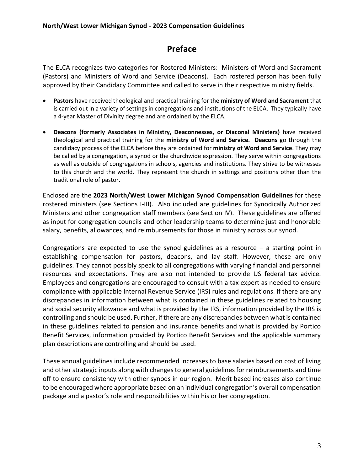## **Preface**

The ELCA recognizes two categories for Rostered Ministers: Ministers of Word and Sacrament (Pastors) and Ministers of Word and Service (Deacons). Each rostered person has been fully approved by their Candidacy Committee and called to serve in their respective ministry fields.

- **Pastors** have received theological and practical training for the **ministry of Word and Sacrament** that is carried out in a variety of settings in congregations and institutions of the ELCA. They typically have a 4-year Master of Divinity degree and are ordained by the ELCA.
- **Deacons (formerly Associates in Ministry, Deaconnesses, or Diaconal Ministers)** have received theological and practical training for the **ministry of Word and Service. Deacons** go through the candidacy process of the ELCA before they are ordained for **ministry of Word and Service**. They may be called by a congregation, a synod or the churchwide expression. They serve within congregations as well as outside of congregations in schools, agencies and institutions. They strive to be witnesses to this church and the world. They represent the church in settings and positions other than the traditional role of pastor.

Enclosed are the **2023 North/West Lower Michigan Synod Compensation Guidelines** for these rostered ministers (see Sections I-III). Also included are guidelines for Synodically Authorized Ministers and other congregation staff members (see Section IV). These guidelines are offered as input for congregation councils and other leadership teams to determine just and honorable salary, benefits, allowances, and reimbursements for those in ministry across our synod.

Congregations are expected to use the synod guidelines as a resource  $-$  a starting point in establishing compensation for pastors, deacons, and lay staff. However, these are only guidelines. They cannot possibly speak to all congregations with varying financial and personnel resources and expectations. They are also not intended to provide US federal tax advice. Employees and congregations are encouraged to consult with a tax expert as needed to ensure compliance with applicable Internal Revenue Service (IRS) rules and regulations. If there are any discrepancies in information between what is contained in these guidelines related to housing and social security allowance and what is provided by the IRS, information provided by the IRS is controlling and should be used. Further, if there are any discrepancies between what is contained in these guidelines related to pension and insurance benefits and what is provided by Portico Benefit Services, information provided by Portico Benefit Services and the applicable summary plan descriptions are controlling and should be used.

These annual guidelines include recommended increases to base salaries based on cost of living and other strategic inputs along with changes to general guidelines for reimbursements and time off to ensure consistency with other synods in our region. Merit based increases also continue to be encouraged where appropriate based on an individual congregation's overall compensation package and a pastor's role and responsibilities within his or her congregation.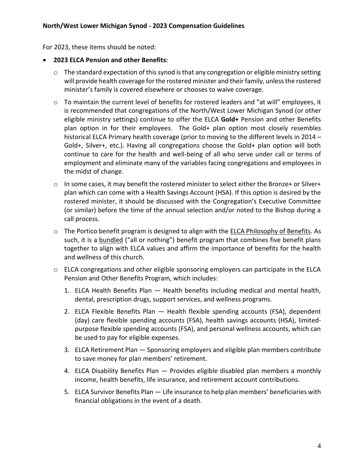For 2023, these items should be noted:

#### • **2023 ELCA Pension and other Benefits:**

- o The standard expectation of this synod is that any congregation or eligible ministry setting will provide health coverage for the rostered minister and their family, unless the rostered minister's family is covered elsewhere or chooses to waive coverage.
- o To maintain the current level of benefits for rostered leaders and "at will" employees, it is recommended that congregations of the North/West Lower Michigan Synod (or other eligible ministry settings) continue to offer the ELCA **Gold+** Pension and other Benefits plan option in for their employees. The Gold+ plan option most closely resembles historical ELCA Primary health coverage (prior to moving to the different levels in 2014 – Gold+, Silver+, etc.). Having all congregations choose the Gold+ plan option will both continue to care for the health and well-being of all who serve under call or terms of employment and eliminate many of the variables facing congregations and employees in the midst of change.
- $\circ$  In some cases, it may benefit the rostered minister to select either the Bronze+ or Silver+ plan which can come with a Health Savings Account (HSA). If this option is desired by the rostered minister, it should be discussed with the Congregation's Executive Committee (or similar) before the time of the annual selection and/or noted to the Bishop during a call process.
- $\circ$  The Portico benefit program is designed to align with the [ELCA Philosophy of Benefits.](https://www.porticobenefits.org/AboutUs/OrganizationalInformation/ELCAPhilosophyOfBenefits) As such, it is a bundled ("all or nothing") benefit program that combines five benefit plans together to align with ELCA values and affirm the importance of benefits for the health and wellness of this church.
- o ELCA congregations and other eligible sponsoring employers can participate in the ELCA Pension and Other Benefits Program, which includes:
	- 1. ELCA Health Benefits Plan Health benefits including medical and mental health, dental, prescription drugs, support services, and wellness programs.
	- 2. ELCA Flexible Benefits Plan Health flexible spending accounts (FSA), dependent (day) care flexible spending accounts (FSA), health savings accounts (HSA), limitedpurpose flexible spending accounts (FSA), and personal wellness accounts, which can be used to pay for eligible expenses.
	- 3. ELCA Retirement Plan Sponsoring employers and eligible plan members contribute to save money for plan members' retirement.
	- 4. ELCA Disability Benefits Plan Provides eligible disabled plan members a monthly income, health benefits, life insurance, and retirement account contributions.
	- 5. ELCA Survivor Benefits Plan Life insurance to help plan members' beneficiaries with financial obligations in the event of a death.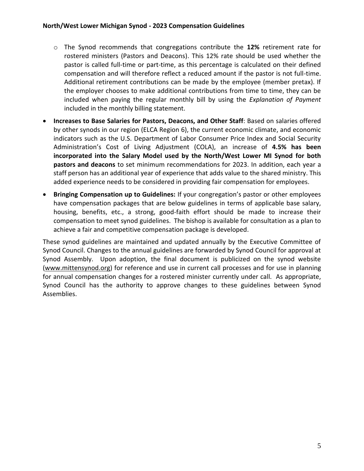- o The Synod recommends that congregations contribute the **12%** retirement rate for rostered ministers (Pastors and Deacons). This 12% rate should be used whether the pastor is called full-time or part-time, as this percentage is calculated on their defined compensation and will therefore reflect a reduced amount if the pastor is not full-time. Additional retirement contributions can be made by the employee (member pretax). If the employer chooses to make additional contributions from time to time, they can be included when paying the regular monthly bill by using the *Explanation of Payment* included in the monthly billing statement.
- **Increases to Base Salaries for Pastors, Deacons, and Other Staff**: Based on salaries offered by other synods in our region (ELCA Region 6), the current economic climate, and economic indicators such as the U.S. Department of Labor Consumer Price Index and Social Security Administration's Cost of Living Adjustment (COLA), an increase of **4.5% has been incorporated into the Salary Model used by the North/West Lower MI Synod for both pastors and deacons** to set minimum recommendations for 2023. In addition, each year a staff person has an additional year of experience that adds value to the shared ministry. This added experience needs to be considered in providing fair compensation for employees.
- **Bringing Compensation up to Guidelines:** If your congregation's pastor or other employees have compensation packages that are below guidelines in terms of applicable base salary, housing, benefits, etc., a strong, good-faith effort should be made to increase their compensation to meet synod guidelines. The bishop is available for consultation as a plan to achieve a fair and competitive compensation package is developed.

These synod guidelines are maintained and updated annually by the Executive Committee of Synod Council. Changes to the annual guidelines are forwarded by Synod Council for approval at Synod Assembly. Upon adoption, the final document is publicized on the synod website [\(www.mittensynod.org\)](http://www.mittensynod.org/) for reference and use in current call processes and for use in planning for annual compensation changes for a rostered minister currently under call. As appropriate, Synod Council has the authority to approve changes to these guidelines between Synod Assemblies.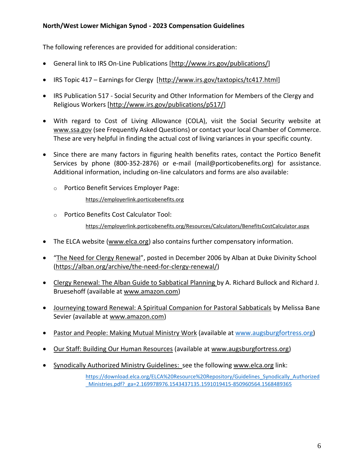The following references are provided for additional consideration:

- General link to IRS On-Line Publications [\[http://www.irs.gov/publications/\]](http://www.irs.gov/publications/)
- IRS Topic 417 Earnings for Clergy [\[http://www.irs.gov/taxtopics/tc417.html\]](http://www.irs.gov/taxtopics/tc417.html)
- IRS Publication 517 Social Security and Other Information for Members of the Clergy and Religious Workers [\[http://www.irs.gov/publications/p517/\]](http://www.irs.gov/publications/p517/)
- With regard to Cost of Living Allowance (COLA), visit the Social Security website at [www.ssa.gov](http://www.ssa.gov/) (see Frequently Asked Questions) or contact your local Chamber of Commerce. These are very helpful in finding the actual cost of living variances in your specific county.
- Since there are many factors in figuring health benefits rates, contact the Portico Benefit Services by phone (800-352-2876) or e-mail (mail@porticobenefits.org) for assistance. Additional information, including on-line calculators and forms are also available:
	- o Portico Benefit Services Employer Page:

[https://employerlink.porticobenefits.org](https://employerlink.porticobenefits.org/)

o Portico Benefits Cost Calculator Tool:

<https://employerlink.porticobenefits.org/Resources/Calculators/BenefitsCostCalculator.aspx>

- The ELCA website [\(www.elca.org\)](http://www.elca.org/) also contains further compensatory information.
- "[The Need for Clergy Renewal](https://alban.org/archive/the-need-for-clergy-renewal/)", posted in December 2006 by Alban at Duke Divinity School [\(https://alban.org/archive/the-need-for-clergy-renewal/\)](https://alban.org/archive/the-need-for-clergy-renewal/)
- Clergy Renewal: The Alban Guide to Sabbatical Planning by A. Richard Bullock and Richard J. Bruesehoff (available at [www.amazon.com\)](http://www.amazon.com/)
- Journeying toward Renewal: A Spiritual Companion for Pastoral Sabbaticals by Melissa Bane Sevier (available at [www.amazon.com\)](http://www.amazon.com/)
- Pastor and People: Making Mutual Ministry Work (available at [www.augsburgfortress.org\)](http://www.augsburgfortress.org/)
- Our Staff: Building Our Human Resources (available at [www.augsburgfortress.org\)](http://www.augsburgfortress.org/)
- Synodically Authorized Ministry Guidelines: see the following [www.elca.org](http://www.elca.org/) link:

[https://download.elca.org/ELCA%20Resource%20Repository/Guidelines\\_Synodically\\_Authorized](https://download.elca.org/ELCA%20Resource%20Repository/Guidelines_Synodically_Authorized_Ministries.pdf?_ga=2.169978976.1543437135.1591019415-850960564.1568489365) [\\_Ministries.pdf?\\_ga=2.169978976.1543437135.1591019415-850960564.1568489365](https://download.elca.org/ELCA%20Resource%20Repository/Guidelines_Synodically_Authorized_Ministries.pdf?_ga=2.169978976.1543437135.1591019415-850960564.1568489365)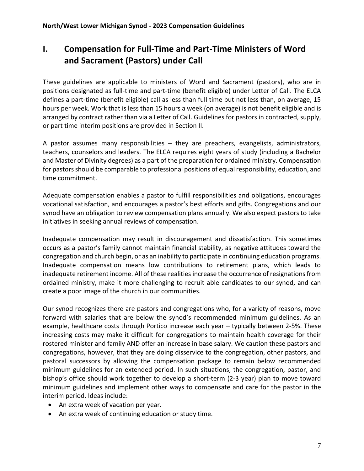## **I. Compensation for Full-Time and Part-Time Ministers of Word and Sacrament (Pastors) under Call**

These guidelines are applicable to ministers of Word and Sacrament (pastors), who are in positions designated as full-time and part-time (benefit eligible) under Letter of Call. The ELCA defines a part-time (benefit eligible) call as less than full time but not less than, on average, 15 hours per week. Work that is less than 15 hours a week (on average) is not benefit eligible and is arranged by contract rather than via a Letter of Call. Guidelines for pastors in contracted, supply, or part time interim positions are provided in Section II.

A pastor assumes many responsibilities – they are preachers, evangelists, administrators, teachers, counselors and leaders. The ELCA requires eight years of study (including a Bachelor and Master of Divinity degrees) as a part of the preparation for ordained ministry. Compensation for pastors should be comparable to professional positions of equal responsibility, education, and time commitment.

Adequate compensation enables a pastor to fulfill responsibilities and obligations, encourages vocational satisfaction, and encourages a pastor's best efforts and gifts. Congregations and our synod have an obligation to review compensation plans annually. We also expect pastors to take initiatives in seeking annual reviews of compensation.

Inadequate compensation may result in discouragement and dissatisfaction. This sometimes occurs as a pastor's family cannot maintain financial stability, as negative attitudes toward the congregation and church begin, or as an inability to participate in continuing education programs. Inadequate compensation means low contributions to retirement plans, which leads to inadequate retirement income. All of these realities increase the occurrence of resignations from ordained ministry, make it more challenging to recruit able candidates to our synod, and can create a poor image of the church in our communities.

Our synod recognizes there are pastors and congregations who, for a variety of reasons, move forward with salaries that are below the synod's recommended minimum guidelines. As an example, healthcare costs through Portico increase each year – typically between 2-5%. These increasing costs may make it difficult for congregations to maintain health coverage for their rostered minister and family AND offer an increase in base salary. We caution these pastors and congregations, however, that they are doing disservice to the congregation, other pastors, and pastoral successors by allowing the compensation package to remain below recommended minimum guidelines for an extended period. In such situations, the congregation, pastor, and bishop's office should work together to develop a short-term (2-3 year) plan to move toward minimum guidelines and implement other ways to compensate and care for the pastor in the interim period. Ideas include:

- An extra week of vacation per year.
- An extra week of continuing education or study time.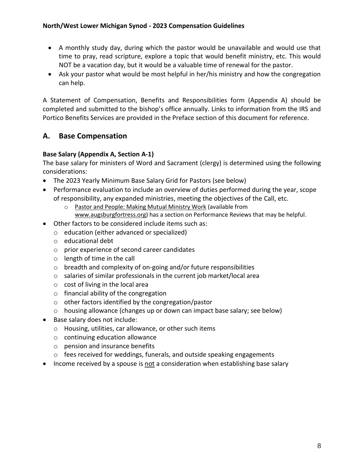- A monthly study day, during which the pastor would be unavailable and would use that time to pray, read scripture, explore a topic that would benefit ministry, etc. This would NOT be a vacation day, but it would be a valuable time of renewal for the pastor.
- Ask your pastor what would be most helpful in her/his ministry and how the congregation can help.

A Statement of Compensation, Benefits and Responsibilities form (Appendix A) should be completed and submitted to the bishop's office annually. Links to information from the IRS and Portico Benefits Services are provided in the Preface section of this document for reference.

## **A. Base Compensation**

## **Base Salary (Appendix A, Section A-1)**

The base salary for ministers of Word and Sacrament (clergy) is determined using the following considerations:

- The 2023 Yearly Minimum Base Salary Grid for Pastors (see below)
- Performance evaluation to include an overview of duties performed during the year, scope of responsibility, any expanded ministries, meeting the objectives of the Call, etc.
	- o Pastor and People: Making Mutual Ministry Work (available from
	- [www.augsburgfortress.org\)](http://www.augsburgfortress.org/) has a section on Performance Reviews that may be helpful.
- Other factors to be considered include items such as:
	- o education (either advanced or specialized)
	- o educational debt
	- o prior experience of second career candidates
	- o length of time in the call
	- o breadth and complexity of on-going and/or future responsibilities
	- o salaries of similar professionals in the current job market/local area
	- o cost of living in the local area
	- o financial ability of the congregation
	- o other factors identified by the congregation/pastor
	- o housing allowance (changes up or down can impact base salary; see below)
- Base salary does not include:
	- o Housing, utilities, car allowance, or other such items
	- o continuing education allowance
	- o pension and insurance benefits
	- o fees received for weddings, funerals, and outside speaking engagements
- Income received by a spouse is not a consideration when establishing base salary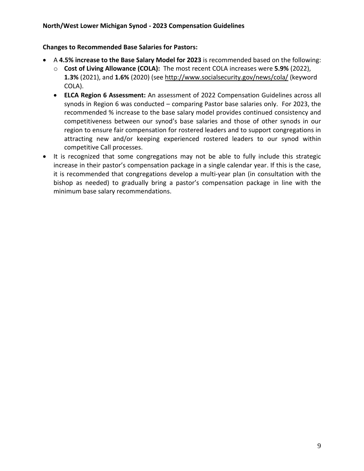#### **Changes to Recommended Base Salaries for Pastors:**

- A **4.5% increase to the Base Salary Model for 2023** is recommended based on the following:
	- o **Cost of Living Allowance (COLA):** The most recent COLA increases were **5.9%** (2022), **1.3%** (2021), and **1.6%** (2020) (see<http://www.socialsecurity.gov/news/cola/> (keyword COLA).
	- **ELCA Region 6 Assessment:** An assessment of 2022 Compensation Guidelines across all synods in Region 6 was conducted – comparing Pastor base salaries only. For 2023, the recommended % increase to the base salary model provides continued consistency and competitiveness between our synod's base salaries and those of other synods in our region to ensure fair compensation for rostered leaders and to support congregations in attracting new and/or keeping experienced rostered leaders to our synod within competitive Call processes.
- It is recognized that some congregations may not be able to fully include this strategic increase in their pastor's compensation package in a single calendar year. If this is the case, it is recommended that congregations develop a multi-year plan (in consultation with the bishop as needed) to gradually bring a pastor's compensation package in line with the minimum base salary recommendations.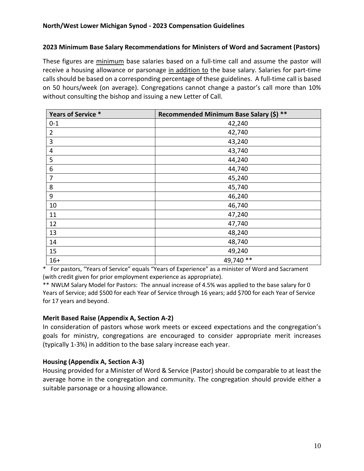#### **2023 Minimum Base Salary Recommendations for Ministers of Word and Sacrament (Pastors)**

These figures are minimum base salaries based on a full-time call and assume the pastor will receive a housing allowance or parsonage in addition to the base salary. Salaries for part-time calls should be based on a corresponding percentage of these guidelines. A full-time call is based on 50 hours/week (on average). Congregations cannot change a pastor's call more than 10% without consulting the bishop and issuing a new Letter of Call.

| Years of Service * | Recommended Minimum Base Salary (\$) ** |
|--------------------|-----------------------------------------|
| $0 - 1$            | 42,240                                  |
| $\overline{2}$     | 42,740                                  |
| 3                  | 43,240                                  |
| 4                  | 43,740                                  |
| 5                  | 44,240                                  |
| 6                  | 44,740                                  |
| 7                  | 45,240                                  |
| 8                  | 45,740                                  |
| 9                  | 46,240                                  |
| 10                 | 46,740                                  |
| 11                 | 47,240                                  |
| 12                 | 47,740                                  |
| 13                 | 48,240                                  |
| 14                 | 48,740                                  |
| 15                 | 49,240                                  |
| $16+$              | 49,740 **                               |

\* For pastors, "Years of Service" equals "Years of Experience" as a minister of Word and Sacrament (with credit given for prior employment experience as appropriate).

\*\* NWLM Salary Model for Pastors: The annual increase of 4.5% was applied to the base salary for 0 Years of Service; add \$500 for each Year of Service through 16 years; add \$700 for each Year of Service for 17 years and beyond.

#### **Merit Based Raise (Appendix A, Section A-2)**

In consideration of pastors whose work meets or exceed expectations and the congregation's goals for ministry, congregations are encouraged to consider appropriate merit increases (typically 1-3%) in addition to the base salary increase each year.

#### **Housing (Appendix A, Section A-3)**

Housing provided for a Minister of Word & Service (Pastor) should be comparable to at least the average home in the congregation and community. The congregation should provide either a suitable parsonage or a housing allowance.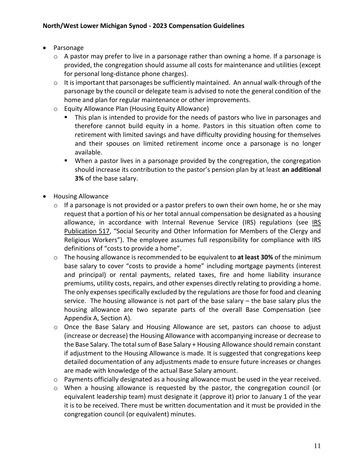- Parsonage
	- $\circ$  A pastor may prefer to live in a parsonage rather than owning a home. If a parsonage is provided, the congregation should assume all costs for maintenance and utilities (except for personal long-distance phone charges).
	- $\circ$  It is important that parsonages be sufficiently maintained. An annual walk-through of the parsonage by the council or delegate team is advised to note the general condition of the home and plan for regular maintenance or other improvements.
	- o Equity Allowance Plan (Housing Equity Allowance)
		- This plan is intended to provide for the needs of pastors who live in parsonages and therefore cannot build equity in a home. Pastors in this situation often come to retirement with limited savings and have difficulty providing housing for themselves and their spouses on limited retirement income once a parsonage is no longer available.
		- When a pastor lives in a parsonage provided by the congregation, the congregation should increase its contribution to the pastor's pension plan by at least **an additional 3%** of the base salary.
- Housing Allowance
	- $\circ$  If a parsonage is not provided or a pastor prefers to own their own home, he or she may request that a portion of his or her total annual compensation be designated as a housing allowance, in accordance with Internal Revenue Service (IRS) regulations (see IRS [Publication 517](https://www.irs.gov/forms-pubs/about-publication-517), "Social Security and Other Information for Members of the Clergy and Religious Workers"). The employee assumes full responsibility for compliance with IRS definitions of "costs to provide a home".
	- o The housing allowance is recommended to be equivalent to **at least 30%** of the minimum base salary to cover "costs to provide a home" including mortgage payments (interest and principal) or rental payments, related taxes, fire and home liability insurance premiums, utility costs, repairs, and other expenses directly relating to providing a home. The only expenses specifically excluded by the regulations are those for food and cleaning service. The housing allowance is not part of the base salary – the base salary plus the housing allowance are two separate parts of the overall Base Compensation (see Appendix A, Section A).
	- o Once the Base Salary and Housing Allowance are set, pastors can choose to adjust (increase or decrease) the Housing Allowance with accompanying increase or decrease to the Base Salary. The total sum of Base Salary + Housing Allowance should remain constant if adjustment to the Housing Allowance is made. It is suggested that congregations keep detailed documentation of any adjustments made to ensure future increases or changes are made with knowledge of the actual Base Salary amount.
	- o Payments officially designated as a housing allowance must be used in the year received.
	- o When a housing allowance is requested by the pastor, the congregation council (or equivalent leadership team) must designate it (approve it) prior to January 1 of the year it is to be received. There must be written documentation and it must be provided in the congregation council (or equivalent) minutes.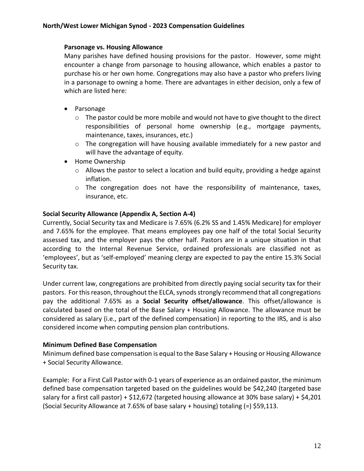#### **Parsonage vs. Housing Allowance**

Many parishes have defined housing provisions for the pastor. However, some might encounter a change from parsonage to housing allowance, which enables a pastor to purchase his or her own home. Congregations may also have a pastor who prefers living in a parsonage to owning a home. There are advantages in either decision, only a few of which are listed here:

- Parsonage
	- o The pastor could be more mobile and would not have to give thought to the direct responsibilities of personal home ownership (e.g., mortgage payments, maintenance, taxes, insurances, etc.)
	- o The congregation will have housing available immediately for a new pastor and will have the advantage of equity.
- Home Ownership
	- o Allows the pastor to select a location and build equity, providing a hedge against inflation.
	- o The congregation does not have the responsibility of maintenance, taxes, insurance, etc.

#### **Social Security Allowance (Appendix A, Section A-4)**

Currently, Social Security tax and Medicare is 7.65% (6.2% SS and 1.45% Medicare) for employer and 7.65% for the employee. That means employees pay one half of the total Social Security assessed tax, and the employer pays the other half. Pastors are in a unique situation in that according to the Internal Revenue Service, ordained professionals are classified not as 'employees', but as 'self-employed' meaning clergy are expected to pay the entire 15.3% Social Security tax.

Under current law, congregations are prohibited from directly paying social security tax for their pastors. For this reason, throughout the ELCA, synods strongly recommend that all congregations pay the additional 7.65% as a **Social Security offset/allowance**. This offset/allowance is calculated based on the total of the Base Salary + Housing Allowance. The allowance must be considered as salary (i.e., part of the defined compensation) in reporting to the IRS, and is also considered income when computing pension plan contributions.

#### **Minimum Defined Base Compensation**

Minimum defined base compensation is equal to the Base Salary + Housing or Housing Allowance + Social Security Allowance.

Example: For a First Call Pastor with 0-1 years of experience as an ordained pastor, the minimum defined base compensation targeted based on the guidelines would be \$42,240 (targeted base salary for a first call pastor) + \$12,672 (targeted housing allowance at 30% base salary) + \$4,201 (Social Security Allowance at 7.65% of base salary + housing) totaling (=) \$59,113.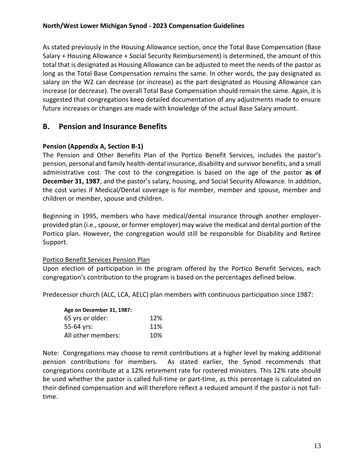As stated previously in the Housing Allowance section, once the Total Base Compensation (Base Salary + Housing Allowance + Social Security Reimbursement) is determined, the amount of this total that is designated as Housing Allowance can be adjusted to meet the needs of the pastor as long as the Total Base Compensation remains the same. In other words, the pay designated as salary on the W2 can decrease (or increase) as the part designated as Housing Allowance can increase (or decrease). The overall Total Base Compensation should remain the same. Again, it is suggested that congregations keep detailed documentation of any adjustments made to ensure future increases or changes are made with knowledge of the actual Base Salary amount.

## **B. Pension and Insurance Benefits**

#### **Pension (Appendix A, Section B-1)**

The Pension and Other Benefits Plan of the Portico Benefit Services, includes the pastor's pension, personal and family health-dental insurance, disability and survivor benefits, and a small administrative cost. The cost to the congregation is based on the age of the pastor **as of December 31, 1987**, and the pastor's salary, housing, and Social Security Allowance. In addition, the cost varies if Medical/Dental coverage is for member, member and spouse, member and children or member, spouse and children.

Beginning in 1995, members who have medical/dental insurance through another employerprovided plan (i.e., spouse, or former employer) may waive the medical and dental portion of the Portico plan. However, the congregation would still be responsible for Disability and Retiree Support.

#### Portico Benefit Services Pension Plan

Upon election of participation in the program offered by the Portico Benefit Services, each congregation's contribution to the program is based on the percentages defined below.

Predecessor church (ALC, LCA, AELC) plan members with continuous participation since 1987:

| Age on December 31, 1987: |     |
|---------------------------|-----|
| 65 yrs or older:          | 12% |
| 55-64 yrs:                | 11% |
| All other members:        | 10% |

Note: Congregations may choose to remit contributions at a higher level by making additional pension contributions for members. As stated earlier, the Synod recommends that congregations contribute at a 12% retirement rate for rostered ministers. This 12% rate should be used whether the pastor is called full-time or part-time, as this percentage is calculated on their defined compensation and will therefore reflect a reduced amount if the pastor is not fulltime.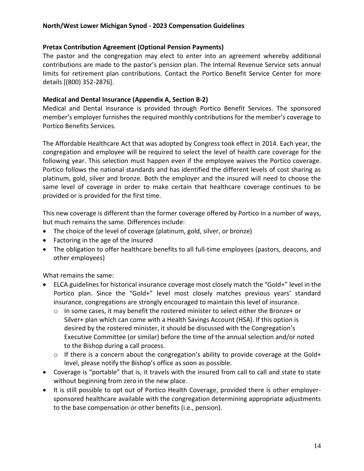#### **Pretax Contribution Agreement (Optional Pension Payments)**

The pastor and the congregation may elect to enter into an agreement whereby additional contributions are made to the pastor's pension plan. The Internal Revenue Service sets annual limits for retirement plan contributions. Contact the Portico Benefit Service Center for more details [(800) 352-2876].

#### **Medical and Dental Insurance (Appendix A, Section B-2)**

Medical and Dental insurance is provided through Portico Benefit Services. The sponsored member's employer furnishes the required monthly contributions for the member's coverage to Portico Benefits Services.

The Affordable Healthcare Act that was adopted by Congress took effect in 2014. Each year, the congregation and employee will be required to select the level of health care coverage for the following year. This selection must happen even if the employee waives the Portico coverage. Portico follows the national standards and has identified the different levels of cost sharing as platinum, gold, silver and bronze. Both the employer and the insured will need to choose the same level of coverage in order to make certain that healthcare coverage continues to be provided or is provided for the first time.

This new coverage is different than the former coverage offered by Portico in a number of ways, but much remains the same. Differences include:

- The choice of the level of coverage (platinum, gold, silver, or bronze)
- Factoring in the age of the insured
- The obligation to offer healthcare benefits to all full-time employees (pastors, deacons, and other employees)

What remains the same:

- ELCA guidelines for historical insurance coverage most closely match the "Gold+" level in the Portico plan. Since the "Gold+" level most closely matches previous years' standard insurance, congregations are strongly encouraged to maintain this level of insurance.
	- o In some cases, it may benefit the rostered minister to select either the Bronze+ or Silver+ plan which can come with a Health Savings Account (HSA). If this option is desired by the rostered minister, it should be discussed with the Congregation's Executive Committee (or similar) before the time of the annual selection and/or noted to the Bishop during a call process.
	- o If there is a concern about the congregation's ability to provide coverage at the Gold+ level, please notify the Bishop's office as soon as possible.
- Coverage is "portable" that is, it travels with the insured from call to call and state to state without beginning from zero in the new place.
- It is still possible to opt out of Portico Health Coverage, provided there is other employersponsored healthcare available with the congregation determining appropriate adjustments to the base compensation or other benefits (i.e., pension).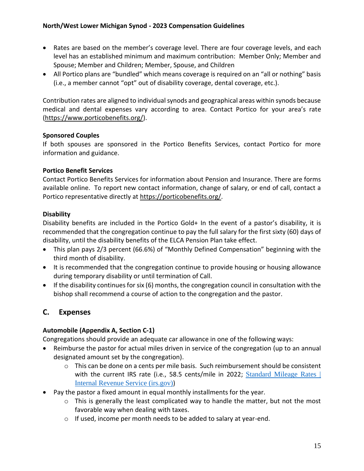- Rates are based on the member's coverage level. There are four coverage levels, and each level has an established minimum and maximum contribution: Member Only; Member and Spouse; Member and Children; Member, Spouse, and Children
- All Portico plans are "bundled" which means coverage is required on an "all or nothing" basis (i.e., a member cannot "opt" out of disability coverage, dental coverage, etc.).

Contribution rates are aligned to individual synods and geographical areas within synods because medical and dental expenses vary according to area. Contact Portico for your area's rate [\(https://www.porticobenefits.org/\)](https://www.porticobenefits.org/).

#### **Sponsored Couples**

If both spouses are sponsored in the Portico Benefits Services, contact Portico for more information and guidance.

#### **Portico Benefit Services**

Contact Portico Benefits Services for information about Pension and Insurance. There are forms available online. To report new contact information, change of salary, or end of call, contact a Portico representative directly at [https://porticobenefits.org/.](https://porticobenefits.org/)

#### **Disability**

Disability benefits are included in the Portico Gold+ In the event of a pastor's disability, it is recommended that the congregation continue to pay the full salary for the first sixty (60) days of disability, until the disability benefits of the ELCA Pension Plan take effect.

- This plan pays 2/3 percent (66.6%) of "Monthly Defined Compensation" beginning with the third month of disability.
- It is recommended that the congregation continue to provide housing or housing allowance during temporary disability or until termination of Call.
- If the disability continues for six (6) months, the congregation council in consultation with the bishop shall recommend a course of action to the congregation and the pastor.

## **C. Expenses**

## **Automobile (Appendix A, Section C-1)**

Congregations should provide an adequate car allowance in one of the following ways:

- Reimburse the pastor for actual miles driven in service of the congregation (up to an annual designated amount set by the congregation).
	- o This can be done on a cents per mile basis. Such reimbursement should be consistent with the current IRS rate (i.e., 58.5 cents/mile in 2022; Standard Mileage Rates | [Internal Revenue Service \(irs.gov\)](https://www.irs.gov/tax-professionals/standard-mileage-rates))
- Pay the pastor a fixed amount in equal monthly installments for the year.
	- o This is generally the least complicated way to handle the matter, but not the most favorable way when dealing with taxes.
	- o If used, income per month needs to be added to salary at year-end.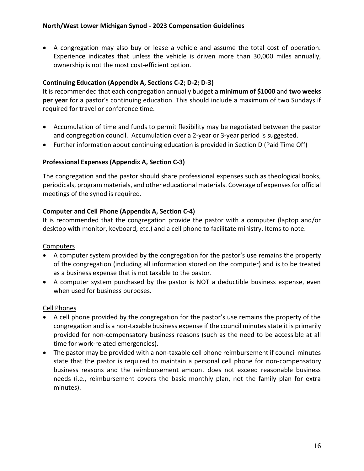• A congregation may also buy or lease a vehicle and assume the total cost of operation. Experience indicates that unless the vehicle is driven more than 30,000 miles annually, ownership is not the most cost-efficient option.

#### **Continuing Education (Appendix A, Sections C-2; D-2; D-3)**

It is recommended that each congregation annually budget **a minimum of \$1000** and **two weeks per year** for a pastor's continuing education. This should include a maximum of two Sundays if required for travel or conference time.

- Accumulation of time and funds to permit flexibility may be negotiated between the pastor and congregation council. Accumulation over a 2-year or 3-year period is suggested.
- Further information about continuing education is provided in Section D (Paid Time Off)

#### **Professional Expenses (Appendix A, Section C-3)**

The congregation and the pastor should share professional expenses such as theological books, periodicals, program materials, and other educational materials. Coverage of expenses for official meetings of the synod is required.

#### **Computer and Cell Phone (Appendix A, Section C-4)**

It is recommended that the congregation provide the pastor with a computer (laptop and/or desktop with monitor, keyboard, etc.) and a cell phone to facilitate ministry. Items to note:

#### **Computers**

- A computer system provided by the congregation for the pastor's use remains the property of the congregation (including all information stored on the computer) and is to be treated as a business expense that is not taxable to the pastor.
- A computer system purchased by the pastor is NOT a deductible business expense, even when used for business purposes.

#### Cell Phones

- A cell phone provided by the congregation for the pastor's use remains the property of the congregation and is a non-taxable business expense if the council minutes state it is primarily provided for non-compensatory business reasons (such as the need to be accessible at all time for work-related emergencies).
- The pastor may be provided with a non-taxable cell phone reimbursement if council minutes state that the pastor is required to maintain a personal cell phone for non-compensatory business reasons and the reimbursement amount does not exceed reasonable business needs (i.e., reimbursement covers the basic monthly plan, not the family plan for extra minutes).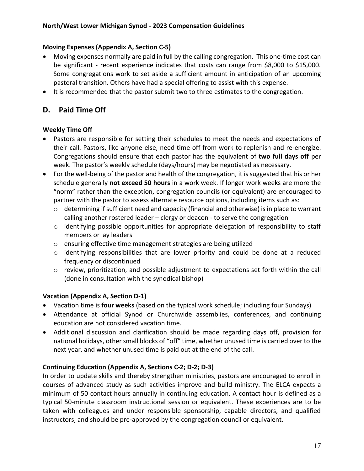#### **Moving Expenses (Appendix A, Section C-5)**

- Moving expenses normally are paid in full by the calling congregation. This one-time cost can be significant - recent experience indicates that costs can range from \$8,000 to \$15,000. Some congregations work to set aside a sufficient amount in anticipation of an upcoming pastoral transition. Others have had a special offering to assist with this expense.
- It is recommended that the pastor submit two to three estimates to the congregation.

## **D. Paid Time Off**

#### **Weekly Time Off**

- Pastors are responsible for setting their schedules to meet the needs and expectations of their call. Pastors, like anyone else, need time off from work to replenish and re-energize. Congregations should ensure that each pastor has the equivalent of **two full days off** per week. The pastor's weekly schedule (days/hours) may be negotiated as necessary.
- For the well-being of the pastor and health of the congregation, it is suggested that his or her schedule generally **not exceed 50 hours** in a work week. If longer work weeks are more the "norm" rather than the exception, congregation councils (or equivalent) are encouraged to partner with the pastor to assess alternate resource options, including items such as:
	- o determining if sufficient need and capacity (financial and otherwise) is in place to warrant calling another rostered leader – clergy or deacon - to serve the congregation
	- $\circ$  identifying possible opportunities for appropriate delegation of responsibility to staff members or lay leaders
	- o ensuring effective time management strategies are being utilized
	- o identifying responsibilities that are lower priority and could be done at a reduced frequency or discontinued
	- o review, prioritization, and possible adjustment to expectations set forth within the call (done in consultation with the synodical bishop)

## **Vacation (Appendix A, Section D-1)**

- Vacation time is **four weeks** (based on the typical work schedule; including four Sundays)
- Attendance at official Synod or Churchwide assemblies, conferences, and continuing education are not considered vacation time.
- Additional discussion and clarification should be made regarding days off, provision for national holidays, other small blocks of "off" time, whether unused time is carried over to the next year, and whether unused time is paid out at the end of the call.

## **Continuing Education (Appendix A, Sections C-2; D-2; D-3)**

In order to update skills and thereby strengthen ministries, pastors are encouraged to enroll in courses of advanced study as such activities improve and build ministry. The ELCA expects a minimum of 50 contact hours annually in continuing education. A contact hour is defined as a typical 50-minute classroom instructional session or equivalent. These experiences are to be taken with colleagues and under responsible sponsorship, capable directors, and qualified instructors, and should be pre-approved by the congregation council or equivalent.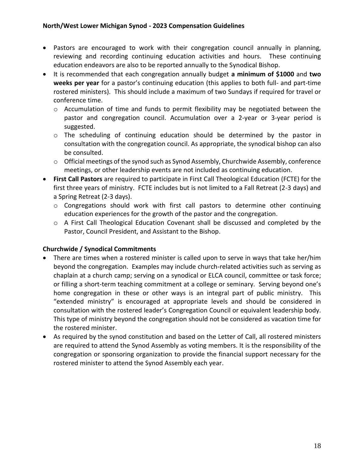- Pastors are encouraged to work with their congregation council annually in planning, reviewing and recording continuing education activities and hours. These continuing education endeavors are also to be reported annually to the Synodical Bishop.
- It is recommended that each congregation annually budget **a minimum of \$1000** and **two weeks per year** for a pastor's continuing education (this applies to both full- and part-time rostered ministers). This should include a maximum of two Sundays if required for travel or conference time.
	- o Accumulation of time and funds to permit flexibility may be negotiated between the pastor and congregation council. Accumulation over a 2-year or 3-year period is suggested.
	- o The scheduling of continuing education should be determined by the pastor in consultation with the congregation council. As appropriate, the synodical bishop can also be consulted.
	- o Official meetings of the synod such as Synod Assembly, Churchwide Assembly, conference meetings, or other leadership events are not included as continuing education.
- **First Call Pastors** are required to participate in First Call Theological Education (FCTE) for the first three years of ministry. FCTE includes but is not limited to a Fall Retreat (2-3 days) and a Spring Retreat (2-3 days).
	- o Congregations should work with first call pastors to determine other continuing education experiences for the growth of the pastor and the congregation.
	- o A First Call Theological Education Covenant shall be discussed and completed by the Pastor, Council President, and Assistant to the Bishop.

## **Churchwide / Synodical Commitments**

- There are times when a rostered minister is called upon to serve in ways that take her/him beyond the congregation. Examples may include church-related activities such as serving as chaplain at a church camp; serving on a synodical or ELCA council, committee or task force; or filling a short-term teaching commitment at a college or seminary. Serving beyond one's home congregation in these or other ways is an integral part of public ministry. This "extended ministry" is encouraged at appropriate levels and should be considered in consultation with the rostered leader's Congregation Council or equivalent leadership body. This type of ministry beyond the congregation should not be considered as vacation time for the rostered minister.
- As required by the synod constitution and based on the Letter of Call, all rostered ministers are required to attend the Synod Assembly as voting members. It is the responsibility of the congregation or sponsoring organization to provide the financial support necessary for the rostered minister to attend the Synod Assembly each year.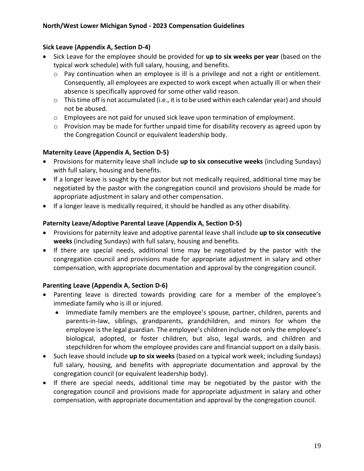#### **Sick Leave (Appendix A, Section D-4)**

- Sick Leave for the employee should be provided for **up to six weeks per year** (based on the typical work schedule) with full salary, housing, and benefits.
	- $\circ$  Pay continuation when an employee is ill is a privilege and not a right or entitlement. Consequently, all employees are expected to work except when actually ill or when their absence is specifically approved for some other valid reason.
	- o This time off is not accumulated (i.e., it is to be used within each calendar year) and should not be abused.
	- o Employees are not paid for unused sick leave upon termination of employment.
	- o Provision may be made for further unpaid time for disability recovery as agreed upon by the Congregation Council or equivalent leadership body.

## **Maternity Leave (Appendix A, Section D-5)**

- Provisions for maternity leave shall include **up to six consecutive weeks** (including Sundays) with full salary, housing and benefits.
- If a longer leave is sought by the pastor but not medically required, additional time may be negotiated by the pastor with the congregation council and provisions should be made for appropriate adjustment in salary and other compensation.
- If a longer leave is medically required, it should be handled as any other disability.

#### **Paternity Leave/Adoptive Parental Leave (Appendix A, Section D-5)**

- Provisions for paternity leave and adoptive parental leave shall include **up to six consecutive weeks** (including Sundays) with full salary, housing and benefits.
- If there are special needs, additional time may be negotiated by the pastor with the congregation council and provisions made for appropriate adjustment in salary and other compensation, with appropriate documentation and approval by the congregation council.

#### **Parenting Leave (Appendix A, Section D-6)**

- Parenting leave is directed towards providing care for a member of the employee's immediate family who is ill or injured.
	- Immediate family members are the employee's spouse, partner, children, parents and parents-in-law, siblings, grandparents, grandchildren, and minors for whom the employee is the legal guardian. The employee's children include not only the employee's biological, adopted, or foster children, but also, legal wards, and children and stepchildren for whom the employee provides care and financial support on a daily basis.
- Such leave should include **up to six weeks** (based on a typical work week; including Sundays) full salary, housing, and benefits with appropriate documentation and approval by the congregation council (or equivalent leadership body).
- If there are special needs, additional time may be negotiated by the pastor with the congregation council and provisions made for appropriate adjustment in salary and other compensation, with appropriate documentation and approval by the congregation council.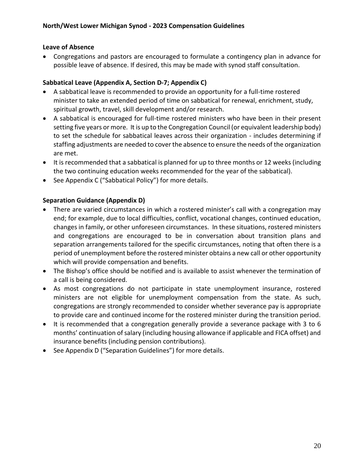#### **Leave of Absence**

• Congregations and pastors are encouraged to formulate a contingency plan in advance for possible leave of absence. If desired, this may be made with synod staff consultation.

#### **Sabbatical Leave (Appendix A, Section D-7; Appendix C)**

- A sabbatical leave is recommended to provide an opportunity for a full-time rostered minister to take an extended period of time on sabbatical for renewal, enrichment, study, spiritual growth, travel, skill development and/or research.
- A sabbatical is encouraged for full-time rostered ministers who have been in their present setting five years or more. It is up to the Congregation Council (or equivalent leadership body) to set the schedule for sabbatical leaves across their organization - includes determining if staffing adjustments are needed to cover the absence to ensure the needs of the organization are met.
- It is recommended that a sabbatical is planned for up to three months or 12 weeks (including the two continuing education weeks recommended for the year of the sabbatical).
- See Appendix C ("Sabbatical Policy") for more details.

#### **Separation Guidance (Appendix D)**

- There are varied circumstances in which a rostered minister's call with a congregation may end; for example, due to local difficulties, conflict, vocational changes, continued education, changes in family, or other unforeseen circumstances. In these situations, rostered ministers and congregations are encouraged to be in conversation about transition plans and separation arrangements tailored for the specific circumstances, noting that often there is a period of unemployment before the rostered minister obtains a new call or other opportunity which will provide compensation and benefits.
- The Bishop's office should be notified and is available to assist whenever the termination of a call is being considered.
- As most congregations do not participate in state unemployment insurance, rostered ministers are not eligible for unemployment compensation from the state. As such, congregations are strongly recommended to consider whether severance pay is appropriate to provide care and continued income for the rostered minister during the transition period.
- It is recommended that a congregation generally provide a severance package with 3 to 6 months' continuation of salary (including housing allowance if applicable and FICA offset) and insurance benefits (including pension contributions).
- See Appendix D ("Separation Guidelines") for more details.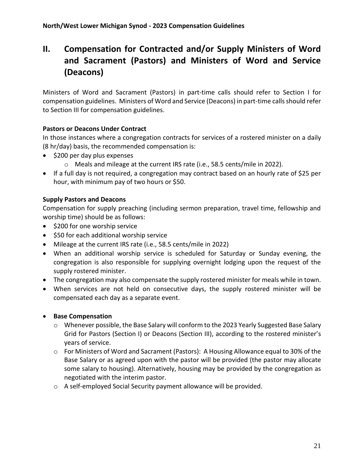## **II. Compensation for Contracted and/or Supply Ministers of Word and Sacrament (Pastors) and Ministers of Word and Service (Deacons)**

Ministers of Word and Sacrament (Pastors) in part-time calls should refer to Section I for compensation guidelines. Ministers of Word and Service (Deacons) in part-time calls should refer to Section III for compensation guidelines.

#### **Pastors or Deacons Under Contract**

In those instances where a congregation contracts for services of a rostered minister on a daily (8 hr/day) basis, the recommended compensation is:

- \$200 per day plus expenses
	- o Meals and mileage at the current IRS rate (i.e., 58.5 cents/mile in 2022).
- If a full day is not required, a congregation may contract based on an hourly rate of \$25 per hour, with minimum pay of two hours or \$50.

#### **Supply Pastors and Deacons**

Compensation for supply preaching (including sermon preparation, travel time, fellowship and worship time) should be as follows:

- \$200 for one worship service
- \$50 for each additional worship service
- Mileage at the current IRS rate (i.e., 58.5 cents/mile in 2022)
- When an additional worship service is scheduled for Saturday or Sunday evening, the congregation is also responsible for supplying overnight lodging upon the request of the supply rostered minister.
- The congregation may also compensate the supply rostered minister for meals while in town.
- When services are not held on consecutive days, the supply rostered minister will be compensated each day as a separate event.

#### • **Base Compensation**

- o Whenever possible, the Base Salary will conform to the 2023 Yearly Suggested Base Salary Grid for Pastors (Section I) or Deacons (Section III), according to the rostered minister's years of service.
- o For Ministers of Word and Sacrament (Pastors): A Housing Allowance equal to 30% of the Base Salary or as agreed upon with the pastor will be provided (the pastor may allocate some salary to housing). Alternatively, housing may be provided by the congregation as negotiated with the interim pastor.
- o A self-employed Social Security payment allowance will be provided.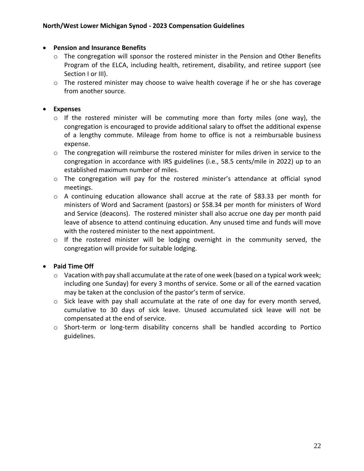#### • **Pension and Insurance Benefits**

- $\circ$  The congregation will sponsor the rostered minister in the Pension and Other Benefits Program of the ELCA, including health, retirement, disability, and retiree support (see Section I or III).
- $\circ$  The rostered minister may choose to waive health coverage if he or she has coverage from another source.

#### • **Expenses**

- o If the rostered minister will be commuting more than forty miles (one way), the congregation is encouraged to provide additional salary to offset the additional expense of a lengthy commute. Mileage from home to office is not a reimbursable business expense.
- o The congregation will reimburse the rostered minister for miles driven in service to the congregation in accordance with IRS guidelines (i.e., 58.5 cents/mile in 2022) up to an established maximum number of miles.
- o The congregation will pay for the rostered minister's attendance at official synod meetings.
- o A continuing education allowance shall accrue at the rate of \$83.33 per month for ministers of Word and Sacrament (pastors) or \$58.34 per month for ministers of Word and Service (deacons). The rostered minister shall also accrue one day per month paid leave of absence to attend continuing education. Any unused time and funds will move with the rostered minister to the next appointment.
- o If the rostered minister will be lodging overnight in the community served, the congregation will provide for suitable lodging.

#### • **Paid Time Off**

- o Vacation with pay shall accumulate at the rate of one week (based on a typical work week; including one Sunday) for every 3 months of service. Some or all of the earned vacation may be taken at the conclusion of the pastor's term of service.
- o Sick leave with pay shall accumulate at the rate of one day for every month served, cumulative to 30 days of sick leave. Unused accumulated sick leave will not be compensated at the end of service.
- o Short-term or long-term disability concerns shall be handled according to Portico guidelines.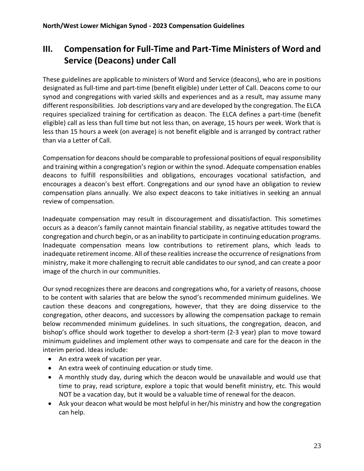## **III. Compensation for Full-Time and Part-Time Ministers of Word and Service (Deacons) under Call**

These guidelines are applicable to ministers of Word and Service (deacons), who are in positions designated as full-time and part-time (benefit eligible) under Letter of Call. Deacons come to our synod and congregations with varied skills and experiences and as a result, may assume many different responsibilities. Job descriptions vary and are developed by the congregation. The ELCA requires specialized training for certification as deacon. The ELCA defines a part-time (benefit eligible) call as less than full time but not less than, on average, 15 hours per week. Work that is less than 15 hours a week (on average) is not benefit eligible and is arranged by contract rather than via a Letter of Call.

Compensation for deaconsshould be comparable to professional positions of equal responsibility and training within a congregation's region or within the synod. Adequate compensation enables deacons to fulfill responsibilities and obligations, encourages vocational satisfaction, and encourages a deacon's best effort. Congregations and our synod have an obligation to review compensation plans annually. We also expect deacons to take initiatives in seeking an annual review of compensation.

Inadequate compensation may result in discouragement and dissatisfaction. This sometimes occurs as a deacon's family cannot maintain financial stability, as negative attitudes toward the congregation and church begin, or as an inability to participate in continuing education programs. Inadequate compensation means low contributions to retirement plans, which leads to inadequate retirement income. All of these realities increase the occurrence of resignations from ministry, make it more challenging to recruit able candidates to our synod, and can create a poor image of the church in our communities.

Our synod recognizes there are deacons and congregations who, for a variety of reasons, choose to be content with salaries that are below the synod's recommended minimum guidelines. We caution these deacons and congregations, however, that they are doing disservice to the congregation, other deacons, and successors by allowing the compensation package to remain below recommended minimum guidelines. In such situations, the congregation, deacon, and bishop's office should work together to develop a short-term (2-3 year) plan to move toward minimum guidelines and implement other ways to compensate and care for the deacon in the interim period. Ideas include:

- An extra week of vacation per year.
- An extra week of continuing education or study time.
- A monthly study day, during which the deacon would be unavailable and would use that time to pray, read scripture, explore a topic that would benefit ministry, etc. This would NOT be a vacation day, but it would be a valuable time of renewal for the deacon.
- Ask your deacon what would be most helpful in her/his ministry and how the congregation can help.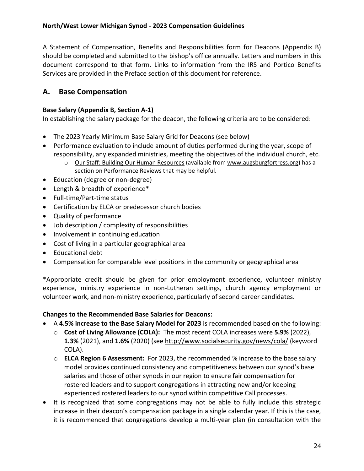A Statement of Compensation, Benefits and Responsibilities form for Deacons (Appendix B) should be completed and submitted to the bishop's office annually. Letters and numbers in this document correspond to that form. Links to information from the IRS and Portico Benefits Services are provided in the Preface section of this document for reference.

## **A. Base Compensation**

### **Base Salary (Appendix B, Section A-1)**

In establishing the salary package for the deacon, the following criteria are to be considered:

- The 2023 Yearly Minimum Base Salary Grid for Deacons (see below)
- Performance evaluation to include amount of duties performed during the year, scope of responsibility, any expanded ministries, meeting the objectives of the individual church, etc.
	- o Our Staff: Building Our Human Resources (available from [www.augsburgfortress.org\)](http://www.augsburgfortress.org/) has a section on Performance Reviews that may be helpful.
- Education (degree or non-degree)
- Length & breadth of experience\*
- Full-time/Part-time status
- Certification by ELCA or predecessor church bodies
- Quality of performance
- Job description / complexity of responsibilities
- Involvement in continuing education
- Cost of living in a particular geographical area
- Educational debt
- Compensation for comparable level positions in the community or geographical area

\*Appropriate credit should be given for prior employment experience, volunteer ministry experience, ministry experience in non-Lutheran settings, church agency employment or volunteer work, and non-ministry experience, particularly of second career candidates.

#### **Changes to the Recommended Base Salaries for Deacons:**

- A **4.5% increase to the Base Salary Model for 2023** is recommended based on the following:
	- o **Cost of Living Allowance (COLA):** The most recent COLA increases were **5.9%** (2022), **1.3%** (2021), and **1.6%** (2020) (see<http://www.socialsecurity.gov/news/cola/> (keyword COLA).
	- o **ELCA Region 6 Assessment:** For 2023, the recommended % increase to the base salary model provides continued consistency and competitiveness between our synod's base salaries and those of other synods in our region to ensure fair compensation for rostered leaders and to support congregations in attracting new and/or keeping experienced rostered leaders to our synod within competitive Call processes.
- It is recognized that some congregations may not be able to fully include this strategic increase in their deacon's compensation package in a single calendar year. If this is the case, it is recommended that congregations develop a multi-year plan (in consultation with the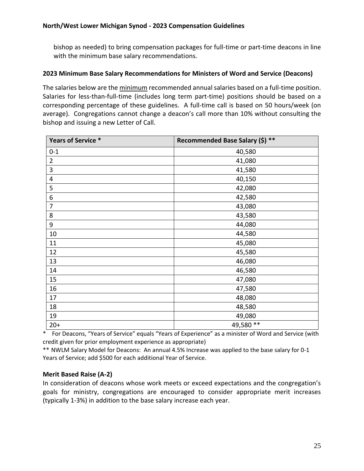bishop as needed) to bring compensation packages for full-time or part-time deacons in line with the minimum base salary recommendations.

#### **2023 Minimum Base Salary Recommendations for Ministers of Word and Service (Deacons)**

The salaries below are the minimum recommended annual salaries based on a full-time position. Salaries for less-than-full-time (includes long term part-time) positions should be based on a corresponding percentage of these guidelines. A full-time call is based on 50 hours/week (on average). Congregations cannot change a deacon's call more than 10% without consulting the bishop and issuing a new Letter of Call.

| Years of Service * | Recommended Base Salary (\$) ** |
|--------------------|---------------------------------|
| $0 - 1$            | 40,580                          |
| $\overline{2}$     | 41,080                          |
| 3                  | 41,580                          |
| $\overline{4}$     | 40,150                          |
| 5                  | 42,080                          |
| 6                  | 42,580                          |
| $\overline{7}$     | 43,080                          |
| 8                  | 43,580                          |
| 9                  | 44,080                          |
| 10                 | 44,580                          |
| 11                 | 45,080                          |
| 12                 | 45,580                          |
| 13                 | 46,080                          |
| 14                 | 46,580                          |
| 15                 | 47,080                          |
| 16                 | 47,580                          |
| 17                 | 48,080                          |
| 18                 | 48,580                          |
| 19                 | 49,080                          |
| $20+$              | 49,580 **                       |

\* For Deacons, "Years of Service" equals "Years of Experience" as a minister of Word and Service (with credit given for prior employment experience as appropriate)

\*\* NWLM Salary Model for Deacons: An annual 4.5% Increase was applied to the base salary for 0-1 Years of Service; add \$500 for each additional Year of Service.

#### **Merit Based Raise (A-2)**

In consideration of deacons whose work meets or exceed expectations and the congregation's goals for ministry, congregations are encouraged to consider appropriate merit increases (typically 1-3%) in addition to the base salary increase each year.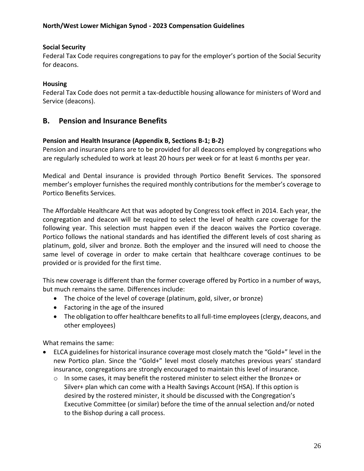#### **Social Security**

Federal Tax Code requires congregations to pay for the employer's portion of the Social Security for deacons.

#### **Housing**

Federal Tax Code does not permit a tax-deductible housing allowance for ministers of Word and Service (deacons).

#### **B. Pension and Insurance Benefits**

#### **Pension and Health Insurance (Appendix B, Sections B-1; B-2)**

Pension and insurance plans are to be provided for all deacons employed by congregations who are regularly scheduled to work at least 20 hours per week or for at least 6 months per year.

Medical and Dental insurance is provided through Portico Benefit Services. The sponsored member's employer furnishes the required monthly contributions for the member's coverage to Portico Benefits Services.

The Affordable Healthcare Act that was adopted by Congress took effect in 2014. Each year, the congregation and deacon will be required to select the level of health care coverage for the following year. This selection must happen even if the deacon waives the Portico coverage. Portico follows the national standards and has identified the different levels of cost sharing as platinum, gold, silver and bronze. Both the employer and the insured will need to choose the same level of coverage in order to make certain that healthcare coverage continues to be provided or is provided for the first time.

This new coverage is different than the former coverage offered by Portico in a number of ways, but much remains the same. Differences include:

- The choice of the level of coverage (platinum, gold, silver, or bronze)
- Factoring in the age of the insured
- The obligation to offer healthcare benefits to all full-time employees (clergy, deacons, and other employees)

What remains the same:

- ELCA guidelines for historical insurance coverage most closely match the "Gold+" level in the new Portico plan. Since the "Gold+" level most closely matches previous years' standard insurance, congregations are strongly encouraged to maintain this level of insurance.
	- $\circ$  In some cases, it may benefit the rostered minister to select either the Bronze+ or Silver+ plan which can come with a Health Savings Account (HSA). If this option is desired by the rostered minister, it should be discussed with the Congregation's Executive Committee (or similar) before the time of the annual selection and/or noted to the Bishop during a call process.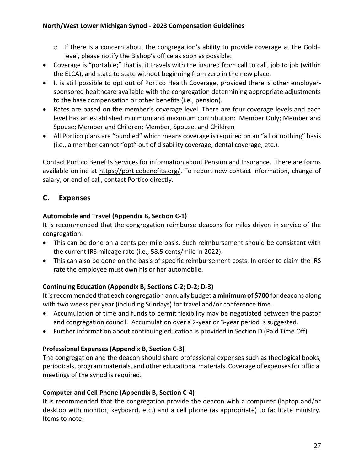- o If there is a concern about the congregation's ability to provide coverage at the Gold+ level, please notify the Bishop's office as soon as possible.
- Coverage is "portable;" that is, it travels with the insured from call to call, job to job (within the ELCA), and state to state without beginning from zero in the new place.
- It is still possible to opt out of Portico Health Coverage, provided there is other employersponsored healthcare available with the congregation determining appropriate adjustments to the base compensation or other benefits (i.e., pension).
- Rates are based on the member's coverage level. There are four coverage levels and each level has an established minimum and maximum contribution: Member Only; Member and Spouse; Member and Children; Member, Spouse, and Children
- All Portico plans are "bundled" which means coverage is required on an "all or nothing" basis (i.e., a member cannot "opt" out of disability coverage, dental coverage, etc.).

Contact Portico Benefits Services for information about Pension and Insurance. There are forms available online at [https://porticobenefits.org/.](https://porticobenefits.org/) To report new contact information, change of salary, or end of call, contact Portico directly.

## **C. Expenses**

## **Automobile and Travel (Appendix B, Section C-1)**

It is recommended that the congregation reimburse deacons for miles driven in service of the congregation.

- This can be done on a cents per mile basis. Such reimbursement should be consistent with the current IRS mileage rate (i.e., 58.5 cents/mile in 2022).
- This can also be done on the basis of specific reimbursement costs. In order to claim the IRS rate the employee must own his or her automobile.

## **Continuing Education (Appendix B, Sections C-2; D-2; D-3)**

It is recommended that each congregation annually budget **a minimum of \$700** for deacons along with two weeks per year (including Sundays) for travel and/or conference time.

- Accumulation of time and funds to permit flexibility may be negotiated between the pastor and congregation council. Accumulation over a 2-year or 3-year period is suggested.
- Further information about continuing education is provided in Section D (Paid Time Off)

## **Professional Expenses (Appendix B, Section C-3)**

The congregation and the deacon should share professional expenses such as theological books, periodicals, program materials, and other educational materials. Coverage of expenses for official meetings of the synod is required.

## **Computer and Cell Phone (Appendix B, Section C-4)**

It is recommended that the congregation provide the deacon with a computer (laptop and/or desktop with monitor, keyboard, etc.) and a cell phone (as appropriate) to facilitate ministry. Items to note: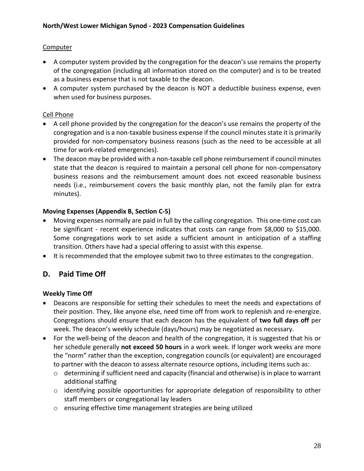### Computer

- A computer system provided by the congregation for the deacon's use remains the property of the congregation (including all information stored on the computer) and is to be treated as a business expense that is not taxable to the deacon.
- A computer system purchased by the deacon is NOT a deductible business expense, even when used for business purposes.

#### Cell Phone

- A cell phone provided by the congregation for the deacon's use remains the property of the congregation and is a non-taxable business expense if the council minutes state it is primarily provided for non-compensatory business reasons (such as the need to be accessible at all time for work-related emergencies).
- The deacon may be provided with a non-taxable cell phone reimbursement if council minutes state that the deacon is required to maintain a personal cell phone for non-compensatory business reasons and the reimbursement amount does not exceed reasonable business needs (i.e., reimbursement covers the basic monthly plan, not the family plan for extra minutes).

#### **Moving Expenses (Appendix B, Section C-5)**

- Moving expenses normally are paid in full by the calling congregation. This one-time cost can be significant - recent experience indicates that costs can range from \$8,000 to \$15,000. Some congregations work to set aside a sufficient amount in anticipation of a staffing transition. Others have had a special offering to assist with this expense.
- It is recommended that the employee submit two to three estimates to the congregation.

## **D. Paid Time Off**

#### **Weekly Time Off**

- Deacons are responsible for setting their schedules to meet the needs and expectations of their position. They, like anyone else, need time off from work to replenish and re-energize. Congregations should ensure that each deacon has the equivalent of **two full days off** per week. The deacon's weekly schedule (days/hours) may be negotiated as necessary.
- For the well-being of the deacon and health of the congregation, it is suggested that his or her schedule generally **not exceed 50 hours** in a work week. If longer work weeks are more the "norm" rather than the exception, congregation councils (or equivalent) are encouraged to partner with the deacon to assess alternate resource options, including items such as:
	- o determining if sufficient need and capacity (financial and otherwise) is in place to warrant additional staffing
	- o identifying possible opportunities for appropriate delegation of responsibility to other staff members or congregational lay leaders
	- o ensuring effective time management strategies are being utilized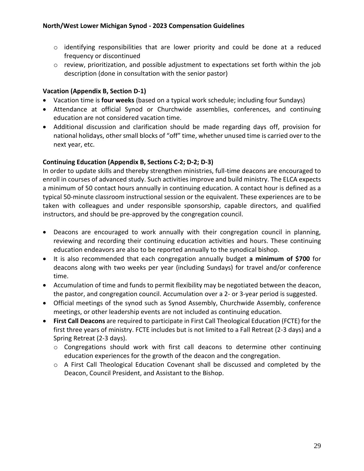- o identifying responsibilities that are lower priority and could be done at a reduced frequency or discontinued
- o review, prioritization, and possible adjustment to expectations set forth within the job description (done in consultation with the senior pastor)

#### **Vacation (Appendix B, Section D-1)**

- Vacation time is **four weeks** (based on a typical work schedule; including four Sundays)
- Attendance at official Synod or Churchwide assemblies, conferences, and continuing education are not considered vacation time.
- Additional discussion and clarification should be made regarding days off, provision for national holidays, other small blocks of "off" time, whether unused time is carried over to the next year, etc.

#### **Continuing Education (Appendix B, Sections C-2; D-2; D-3)**

In order to update skills and thereby strengthen ministries, full-time deacons are encouraged to enroll in courses of advanced study. Such activities improve and build ministry. The ELCA expects a minimum of 50 contact hours annually in continuing education. A contact hour is defined as a typical 50-minute classroom instructional session or the equivalent. These experiences are to be taken with colleagues and under responsible sponsorship, capable directors, and qualified instructors, and should be pre-approved by the congregation council.

- Deacons are encouraged to work annually with their congregation council in planning, reviewing and recording their continuing education activities and hours. These continuing education endeavors are also to be reported annually to the synodical bishop.
- It is also recommended that each congregation annually budget **a minimum of \$700** for deacons along with two weeks per year (including Sundays) for travel and/or conference time.
- Accumulation of time and funds to permit flexibility may be negotiated between the deacon, the pastor, and congregation council. Accumulation over a 2- or 3-year period is suggested.
- Official meetings of the synod such as Synod Assembly, Churchwide Assembly, conference meetings, or other leadership events are not included as continuing education.
- **First Call Deacons** are required to participate in First Call Theological Education (FCTE) for the first three years of ministry. FCTE includes but is not limited to a Fall Retreat (2-3 days) and a Spring Retreat (2-3 days).
	- $\circ$  Congregations should work with first call deacons to determine other continuing education experiences for the growth of the deacon and the congregation.
	- o A First Call Theological Education Covenant shall be discussed and completed by the Deacon, Council President, and Assistant to the Bishop.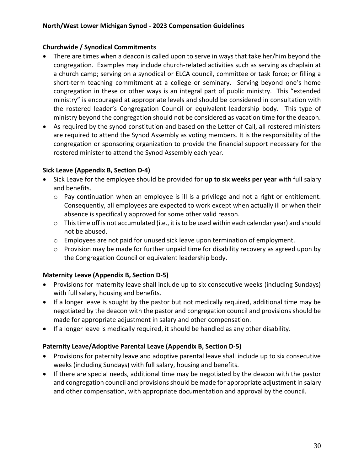#### **Churchwide / Synodical Commitments**

- There are times when a deacon is called upon to serve in ways that take her/him beyond the congregation. Examples may include church-related activities such as serving as chaplain at a church camp; serving on a synodical or ELCA council, committee or task force; or filling a short-term teaching commitment at a college or seminary. Serving beyond one's home congregation in these or other ways is an integral part of public ministry. This "extended ministry" is encouraged at appropriate levels and should be considered in consultation with the rostered leader's Congregation Council or equivalent leadership body. This type of ministry beyond the congregation should not be considered as vacation time for the deacon.
- As required by the synod constitution and based on the Letter of Call, all rostered ministers are required to attend the Synod Assembly as voting members. It is the responsibility of the congregation or sponsoring organization to provide the financial support necessary for the rostered minister to attend the Synod Assembly each year.

#### **Sick Leave (Appendix B, Section D-4)**

- Sick Leave for the employee should be provided for **up to six weeks per year** with full salary and benefits.
	- $\circ$  Pay continuation when an employee is ill is a privilege and not a right or entitlement. Consequently, all employees are expected to work except when actually ill or when their absence is specifically approved for some other valid reason.
	- o This time off is not accumulated (i.e., it is to be used within each calendar year) and should not be abused.
	- $\circ$  Employees are not paid for unused sick leave upon termination of employment.
	- $\circ$  Provision may be made for further unpaid time for disability recovery as agreed upon by the Congregation Council or equivalent leadership body.

## **Maternity Leave (Appendix B, Section D-5)**

- Provisions for maternity leave shall include up to six consecutive weeks (including Sundays) with full salary, housing and benefits.
- If a longer leave is sought by the pastor but not medically required, additional time may be negotiated by the deacon with the pastor and congregation council and provisions should be made for appropriate adjustment in salary and other compensation.
- If a longer leave is medically required, it should be handled as any other disability.

## **Paternity Leave/Adoptive Parental Leave (Appendix B, Section D-5)**

- Provisions for paternity leave and adoptive parental leave shall include up to six consecutive weeks (including Sundays) with full salary, housing and benefits.
- If there are special needs, additional time may be negotiated by the deacon with the pastor and congregation council and provisions should be made for appropriate adjustment in salary and other compensation, with appropriate documentation and approval by the council.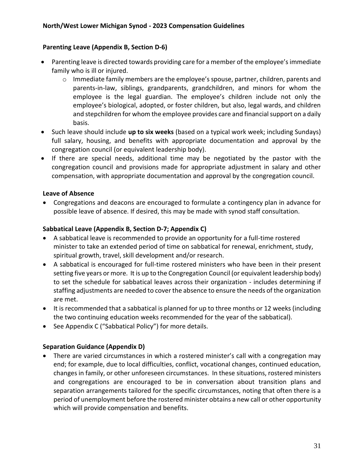#### **Parenting Leave (Appendix B, Section D-6)**

- Parenting leave is directed towards providing care for a member of the employee's immediate family who is ill or injured.
	- $\circ$  Immediate family members are the employee's spouse, partner, children, parents and parents-in-law, siblings, grandparents, grandchildren, and minors for whom the employee is the legal guardian. The employee's children include not only the employee's biological, adopted, or foster children, but also, legal wards, and children and stepchildren for whom the employee provides care and financial support on a daily basis.
- Such leave should include **up to six weeks** (based on a typical work week; including Sundays) full salary, housing, and benefits with appropriate documentation and approval by the congregation council (or equivalent leadership body).
- If there are special needs, additional time may be negotiated by the pastor with the congregation council and provisions made for appropriate adjustment in salary and other compensation, with appropriate documentation and approval by the congregation council.

#### **Leave of Absence**

• Congregations and deacons are encouraged to formulate a contingency plan in advance for possible leave of absence. If desired, this may be made with synod staff consultation.

#### **Sabbatical Leave (Appendix B, Section D-7; Appendix C)**

- A sabbatical leave is recommended to provide an opportunity for a full-time rostered minister to take an extended period of time on sabbatical for renewal, enrichment, study, spiritual growth, travel, skill development and/or research.
- A sabbatical is encouraged for full-time rostered ministers who have been in their present setting five years or more. It is up to the Congregation Council (or equivalent leadership body) to set the schedule for sabbatical leaves across their organization - includes determining if staffing adjustments are needed to cover the absence to ensure the needs of the organization are met.
- It is recommended that a sabbatical is planned for up to three months or 12 weeks (including the two continuing education weeks recommended for the year of the sabbatical).
- See Appendix C ("Sabbatical Policy") for more details.

#### **Separation Guidance (Appendix D)**

• There are varied circumstances in which a rostered minister's call with a congregation may end; for example, due to local difficulties, conflict, vocational changes, continued education, changes in family, or other unforeseen circumstances. In these situations, rostered ministers and congregations are encouraged to be in conversation about transition plans and separation arrangements tailored for the specific circumstances, noting that often there is a period of unemployment before the rostered minister obtains a new call or other opportunity which will provide compensation and benefits.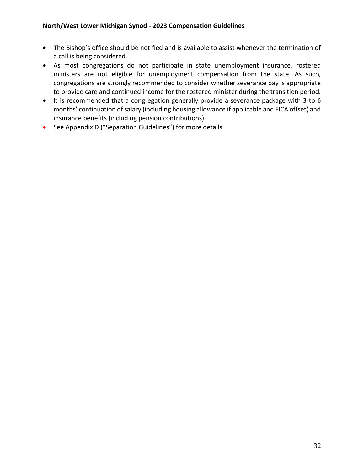- The Bishop's office should be notified and is available to assist whenever the termination of a call is being considered.
- As most congregations do not participate in state unemployment insurance, rostered ministers are not eligible for unemployment compensation from the state. As such, congregations are strongly recommended to consider whether severance pay is appropriate to provide care and continued income for the rostered minister during the transition period.
- It is recommended that a congregation generally provide a severance package with 3 to 6 months' continuation of salary (including housing allowance if applicable and FICA offset) and insurance benefits (including pension contributions).
- See Appendix D ("Separation Guidelines") for more details.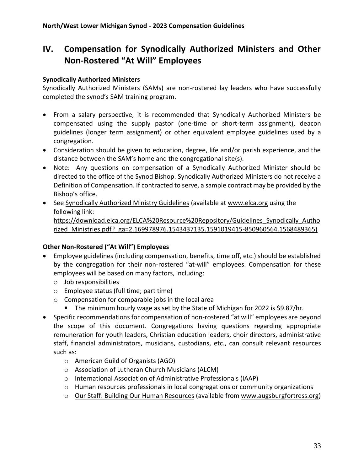## **IV. Compensation for Synodically Authorized Ministers and Other Non-Rostered "At Will" Employees**

#### **Synodically Authorized Ministers**

Synodically Authorized Ministers (SAMs) are non-rostered lay leaders who have successfully completed the synod's SAM training program.

- From a salary perspective, it is recommended that Synodically Authorized Ministers be compensated using the supply pastor (one-time or short-term assignment), deacon guidelines (longer term assignment) or other equivalent employee guidelines used by a congregation.
- Consideration should be given to education, degree, life and/or parish experience, and the distance between the SAM's home and the congregational site(s).
- Note: Any questions on compensation of a Synodically Authorized Minister should be directed to the office of the Synod Bishop. Synodically Authorized Ministers do not receive a Definition of Compensation. If contracted to serve, a sample contract may be provided by the Bishop's office.
- See Synodically Authorized Ministry Guidelines (available at [www.elca.org](http://www.elca.org/) using the following link: [https://download.elca.org/ELCA%20Resource%20Repository/Guidelines\\_Synodically\\_Autho](https://download.elca.org/ELCA%20Resource%20Repository/Guidelines_Synodically_Authorized_Ministries.pdf?_ga=2.169978976.1543437135.1591019415-850960564.1568489365) [rized\\_Ministries.pdf?\\_ga=2.169978976.1543437135.1591019415-850960564.1568489365\)](https://download.elca.org/ELCA%20Resource%20Repository/Guidelines_Synodically_Authorized_Ministries.pdf?_ga=2.169978976.1543437135.1591019415-850960564.1568489365)

#### **Other Non-Rostered ("At Will") Employees**

- Employee guidelines (including compensation, benefits, time off, etc.) should be established by the congregation for their non-rostered "at-will" employees. Compensation for these employees will be based on many factors, including:
	- o Job responsibilities
	- o Employee status (full time; part time)
	- o Compensation for comparable jobs in the local area
		- The minimum hourly wage as set by the State of Michigan for 2022 is \$9.87/hr.
- Specific recommendations for compensation of non-rostered "at will" employees are beyond the scope of this document. Congregations having questions regarding appropriate remuneration for youth leaders, Christian education leaders, choir directors, administrative staff, financial administrators, musicians, custodians, etc., can consult relevant resources such as:
	- o American Guild of Organists (AGO)
	- o Association of Lutheran Church Musicians (ALCM)
	- o International Association of Administrative Professionals (IAAP)
	- $\circ$  Human resources professionals in local congregations or community organizations
	- o Our Staff: Building Our Human Resources (available from [www.augsburgfortress.org\)](http://www.augsburgfortress.org/)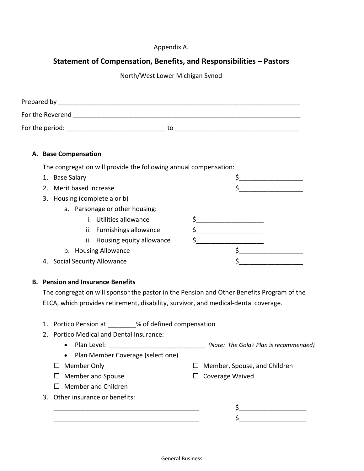#### Appendix A.

## **Statement of Compensation, Benefits, and Responsibilities – Pastors**

North/West Lower Michigan Synod

| Prepared by      |    |
|------------------|----|
| For the Reverend |    |
| For the period:  | to |

#### **A. Base Compensation**

The congregation will provide the following annual compensation:

| 1. | <b>Base Salary</b>             |  |
|----|--------------------------------|--|
|    | 2. Merit based increase        |  |
|    | 3. Housing (complete a or b)   |  |
|    | a. Parsonage or other housing: |  |
|    | i. Utilities allowance         |  |
|    | ii. Furnishings allowance      |  |
|    | iii. Housing equity allowance  |  |
|    | b. Housing Allowance           |  |
|    | 4. Social Security Allowance   |  |

#### **B. Pension and Insurance Benefits**

The congregation will sponsor the pastor in the Pension and Other Benefits Program of the ELCA, which provides retirement, disability, survivor, and medical-dental coverage.

|  | 1. Portico Pension at | % of defined compensation |
|--|-----------------------|---------------------------|
|--|-----------------------|---------------------------|

- 2. Portico Medical and Dental Insurance:
	- Plan Level: \_\_\_\_\_\_\_\_\_\_\_\_\_\_\_\_\_\_\_\_\_\_\_\_\_\_\_ *(Note: The Gold+ Plan is recommended)*
	- Plan Member Coverage (select one)
	- $\square$  Member Only
	- $\square$  Member and Spouse
	- $\Box$  Member and Children
- 3. Other insurance or benefits:
	- \_\_\_\_\_\_\_\_\_\_\_\_\_\_\_\_\_\_\_\_\_\_\_\_\_\_\_\_\_\_\_\_\_\_\_\_\_\_\_\_\_ \$\_\_\_\_\_\_\_\_\_\_\_\_\_\_\_\_\_\_\_ \_\_\_\_\_\_\_\_\_\_\_\_\_\_\_\_\_\_\_\_\_\_\_\_\_\_\_\_\_\_\_\_\_\_\_\_\_\_\_\_\_ \$\_\_\_\_\_\_\_\_\_\_\_\_\_\_\_\_\_\_\_

 $\Box$  Member, Spouse, and Children

 $\Box$  Coverage Waived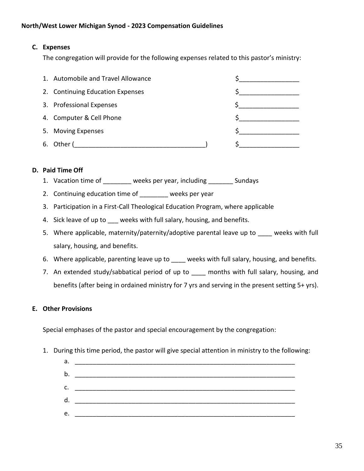#### **C. Expenses**

The congregation will provide for the following expenses related to this pastor's ministry:

|    | 1. Automobile and Travel Allowance |  |
|----|------------------------------------|--|
|    | 2. Continuing Education Expenses   |  |
|    | 3. Professional Expenses           |  |
|    | 4. Computer & Cell Phone           |  |
| 5. | <b>Moving Expenses</b>             |  |
| 6. | Other /                            |  |

#### **D. Paid Time Off**

- 1. Vacation time of weeks per year, including Sundays
- 2. Continuing education time of weeks per year
- 3. Participation in a First-Call Theological Education Program, where applicable
- 4. Sick leave of up to weeks with full salary, housing, and benefits.
- 5. Where applicable, maternity/paternity/adoptive parental leave up to weeks with full salary, housing, and benefits.
- 6. Where applicable, parenting leave up to weeks with full salary, housing, and benefits.
- 7. An extended study/sabbatical period of up to all months with full salary, housing, and benefits (after being in ordained ministry for 7 yrs and serving in the present setting 5+ yrs).

#### **E. Other Provisions**

Special emphases of the pastor and special encouragement by the congregation:

- 1. During this time period, the pastor will give special attention in ministry to the following:
	- a. \_\_\_\_\_\_\_\_\_\_\_\_\_\_\_\_\_\_\_\_\_\_\_\_\_\_\_\_\_\_\_\_\_\_\_\_\_\_\_\_\_\_\_\_\_\_\_\_\_\_\_\_\_\_\_\_\_\_\_\_\_\_  $b.$ c. \_\_\_\_\_\_\_\_\_\_\_\_\_\_\_\_\_\_\_\_\_\_\_\_\_\_\_\_\_\_\_\_\_\_\_\_\_\_\_\_\_\_\_\_\_\_\_\_\_\_\_\_\_\_\_\_\_\_\_\_\_\_  $d.$ e. \_\_\_\_\_\_\_\_\_\_\_\_\_\_\_\_\_\_\_\_\_\_\_\_\_\_\_\_\_\_\_\_\_\_\_\_\_\_\_\_\_\_\_\_\_\_\_\_\_\_\_\_\_\_\_\_\_\_\_\_\_\_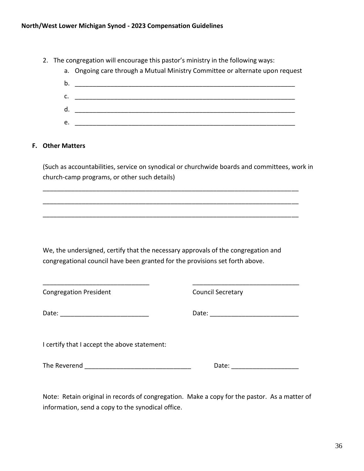- 2. The congregation will encourage this pastor's ministry in the following ways:
	- a. Ongoing care through a Mutual Ministry Committee or alternate upon request
	- b. \_\_\_\_\_\_\_\_\_\_\_\_\_\_\_\_\_\_\_\_\_\_\_\_\_\_\_\_\_\_\_\_\_\_\_\_\_\_\_\_\_\_\_\_\_\_\_\_\_\_\_\_\_\_\_\_\_\_\_\_\_\_ c. \_\_\_\_\_\_\_\_\_\_\_\_\_\_\_\_\_\_\_\_\_\_\_\_\_\_\_\_\_\_\_\_\_\_\_\_\_\_\_\_\_\_\_\_\_\_\_\_\_\_\_\_\_\_\_\_\_\_\_\_\_\_ d. \_\_\_\_\_\_\_\_\_\_\_\_\_\_\_\_\_\_\_\_\_\_\_\_\_\_\_\_\_\_\_\_\_\_\_\_\_\_\_\_\_\_\_\_\_\_\_\_\_\_\_\_\_\_\_\_\_\_\_\_\_\_  $e.$

#### **F. Other Matters**

(Such as accountabilities, service on synodical or churchwide boards and committees, work in church-camp programs, or other such details)

\_\_\_\_\_\_\_\_\_\_\_\_\_\_\_\_\_\_\_\_\_\_\_\_\_\_\_\_\_\_\_\_\_\_\_\_\_\_\_\_\_\_\_\_\_\_\_\_\_\_\_\_\_\_\_\_\_\_\_\_\_\_\_\_\_\_\_\_\_\_\_\_

\_\_\_\_\_\_\_\_\_\_\_\_\_\_\_\_\_\_\_\_\_\_\_\_\_\_\_\_\_\_\_\_\_\_\_\_\_\_\_\_\_\_\_\_\_\_\_\_\_\_\_\_\_\_\_\_\_\_\_\_\_\_\_\_\_\_\_\_\_\_\_\_

 $\overline{\phantom{a}}$  ,  $\overline{\phantom{a}}$  ,  $\overline{\phantom{a}}$  ,  $\overline{\phantom{a}}$  ,  $\overline{\phantom{a}}$  ,  $\overline{\phantom{a}}$  ,  $\overline{\phantom{a}}$  ,  $\overline{\phantom{a}}$  ,  $\overline{\phantom{a}}$  ,  $\overline{\phantom{a}}$  ,  $\overline{\phantom{a}}$  ,  $\overline{\phantom{a}}$  ,  $\overline{\phantom{a}}$  ,  $\overline{\phantom{a}}$  ,  $\overline{\phantom{a}}$  ,  $\overline{\phantom{a}}$ 

We, the undersigned, certify that the necessary approvals of the congregation and congregational council have been granted for the provisions set forth above.

\_\_\_\_\_\_\_\_\_\_\_\_\_\_\_\_\_\_\_\_\_\_\_\_\_\_\_\_\_\_ \_\_\_\_\_\_\_\_\_\_\_\_\_\_\_\_\_\_\_\_\_\_\_\_\_\_\_\_\_\_ Congregation President Council Secretary Date: \_\_\_\_\_\_\_\_\_\_\_\_\_\_\_\_\_\_\_\_\_\_\_\_\_ Date: \_\_\_\_\_\_\_\_\_\_\_\_\_\_\_\_\_\_\_\_\_\_\_\_\_ I certify that I accept the above statement: The Reverend \_\_\_\_\_\_\_\_\_\_\_\_\_\_\_\_\_\_\_\_\_\_\_\_\_\_\_\_\_\_ Date: \_\_\_\_\_\_\_\_\_\_\_\_\_\_\_\_\_\_\_

Note: Retain original in records of congregation. Make a copy for the pastor. As a matter of information, send a copy to the synodical office.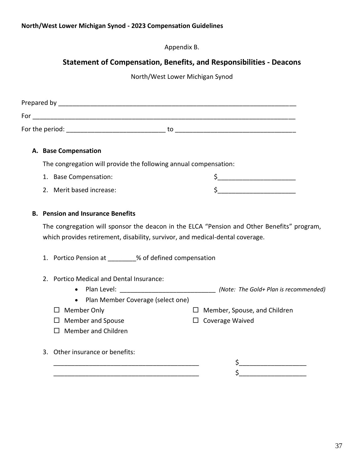Appendix B.

## **Statement of Compensation, Benefits, and Responsibilities - Deacons**

North/West Lower Michigan Synod

|  | A. Base Compensation                                                                                                                     |                                                                                                                                                                                                                                                                                                                                                     |  |
|--|------------------------------------------------------------------------------------------------------------------------------------------|-----------------------------------------------------------------------------------------------------------------------------------------------------------------------------------------------------------------------------------------------------------------------------------------------------------------------------------------------------|--|
|  | The congregation will provide the following annual compensation:                                                                         |                                                                                                                                                                                                                                                                                                                                                     |  |
|  | 1. Base Compensation:                                                                                                                    |                                                                                                                                                                                                                                                                                                                                                     |  |
|  | 2. Merit based increase:                                                                                                                 | $\begin{picture}(20,10) \put(0,0){\line(1,0){10}} \put(15,0){\line(1,0){10}} \put(15,0){\line(1,0){10}} \put(15,0){\line(1,0){10}} \put(15,0){\line(1,0){10}} \put(15,0){\line(1,0){10}} \put(15,0){\line(1,0){10}} \put(15,0){\line(1,0){10}} \put(15,0){\line(1,0){10}} \put(15,0){\line(1,0){10}} \put(15,0){\line(1,0){10}} \put(15,0){\line(1$ |  |
|  | <b>B. Pension and Insurance Benefits</b>                                                                                                 |                                                                                                                                                                                                                                                                                                                                                     |  |
|  | which provides retirement, disability, survivor, and medical-dental coverage.<br>1. Portico Pension at ________% of defined compensation | The congregation will sponsor the deacon in the ELCA "Pension and Other Benefits" program,                                                                                                                                                                                                                                                          |  |
|  | 2. Portico Medical and Dental Insurance:                                                                                                 |                                                                                                                                                                                                                                                                                                                                                     |  |
|  | • Plan Member Coverage (select one)                                                                                                      |                                                                                                                                                                                                                                                                                                                                                     |  |
|  | $\Box$ Member Only                                                                                                                       | $\Box$ Member, Spouse, and Children                                                                                                                                                                                                                                                                                                                 |  |
|  | $\Box$ Member and Spouse                                                                                                                 | $\Box$ Coverage Waived                                                                                                                                                                                                                                                                                                                              |  |
|  | $\Box$ Member and Children                                                                                                               |                                                                                                                                                                                                                                                                                                                                                     |  |
|  | 3. Other insurance or benefits:                                                                                                          |                                                                                                                                                                                                                                                                                                                                                     |  |
|  |                                                                                                                                          | $\frac{1}{2}$                                                                                                                                                                                                                                                                                                                                       |  |
|  |                                                                                                                                          |                                                                                                                                                                                                                                                                                                                                                     |  |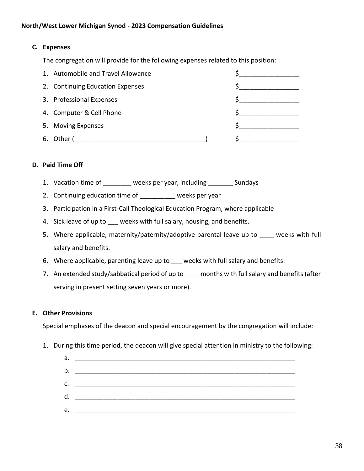#### **C. Expenses**

The congregation will provide for the following expenses related to this position:

|    | 1. Automobile and Travel Allowance |  |
|----|------------------------------------|--|
|    | 2. Continuing Education Expenses   |  |
|    | 3. Professional Expenses           |  |
|    | 4. Computer & Cell Phone           |  |
| 5. | <b>Moving Expenses</b>             |  |
|    | Other (                            |  |

#### **D. Paid Time Off**

- 1. Vacation time of \_\_\_\_\_\_\_\_ weeks per year, including \_\_\_\_\_\_\_ Sundays
- 2. Continuing education time of weeks per year
- 3. Participation in a First-Call Theological Education Program, where applicable
- 4. Sick leave of up to weeks with full salary, housing, and benefits.
- 5. Where applicable, maternity/paternity/adoptive parental leave up to weeks with full salary and benefits.
- 6. Where applicable, parenting leave up to weeks with full salary and benefits.
- 7. An extended study/sabbatical period of up to months with full salary and benefits (after serving in present setting seven years or more).

#### **E. Other Provisions**

Special emphases of the deacon and special encouragement by the congregation will include:

1. During this time period, the deacon will give special attention in ministry to the following:

| а. |  |
|----|--|
| b. |  |
| c. |  |
| d. |  |
| e. |  |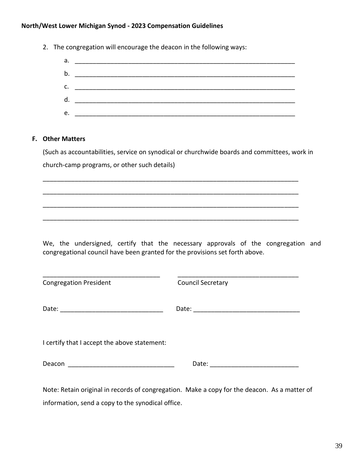| а.<br>$\mathsf{b}$ . $\qquad \qquad$<br>(Such as accountabilities, service on synodical or churchwide boards and committees, work in<br>church-camp programs, or other such details)<br>We, the undersigned, certify that the necessary approvals of the congregation and<br>congregational council have been granted for the provisions set forth above.<br><b>Congregation President</b><br><b>Council Secretary</b><br>Date: the contract of the contract of the contract of the contract of the contract of the contract of the contract of the contract of the contract of the contract of the contract of the contract of the contract of the cont<br>I certify that I accept the above statement: |
|----------------------------------------------------------------------------------------------------------------------------------------------------------------------------------------------------------------------------------------------------------------------------------------------------------------------------------------------------------------------------------------------------------------------------------------------------------------------------------------------------------------------------------------------------------------------------------------------------------------------------------------------------------------------------------------------------------|
|                                                                                                                                                                                                                                                                                                                                                                                                                                                                                                                                                                                                                                                                                                          |
|                                                                                                                                                                                                                                                                                                                                                                                                                                                                                                                                                                                                                                                                                                          |
| <b>F.</b> Other Matters                                                                                                                                                                                                                                                                                                                                                                                                                                                                                                                                                                                                                                                                                  |
|                                                                                                                                                                                                                                                                                                                                                                                                                                                                                                                                                                                                                                                                                                          |
|                                                                                                                                                                                                                                                                                                                                                                                                                                                                                                                                                                                                                                                                                                          |
|                                                                                                                                                                                                                                                                                                                                                                                                                                                                                                                                                                                                                                                                                                          |
|                                                                                                                                                                                                                                                                                                                                                                                                                                                                                                                                                                                                                                                                                                          |
|                                                                                                                                                                                                                                                                                                                                                                                                                                                                                                                                                                                                                                                                                                          |
|                                                                                                                                                                                                                                                                                                                                                                                                                                                                                                                                                                                                                                                                                                          |
|                                                                                                                                                                                                                                                                                                                                                                                                                                                                                                                                                                                                                                                                                                          |
|                                                                                                                                                                                                                                                                                                                                                                                                                                                                                                                                                                                                                                                                                                          |
|                                                                                                                                                                                                                                                                                                                                                                                                                                                                                                                                                                                                                                                                                                          |
|                                                                                                                                                                                                                                                                                                                                                                                                                                                                                                                                                                                                                                                                                                          |
|                                                                                                                                                                                                                                                                                                                                                                                                                                                                                                                                                                                                                                                                                                          |
|                                                                                                                                                                                                                                                                                                                                                                                                                                                                                                                                                                                                                                                                                                          |
|                                                                                                                                                                                                                                                                                                                                                                                                                                                                                                                                                                                                                                                                                                          |
|                                                                                                                                                                                                                                                                                                                                                                                                                                                                                                                                                                                                                                                                                                          |
|                                                                                                                                                                                                                                                                                                                                                                                                                                                                                                                                                                                                                                                                                                          |
|                                                                                                                                                                                                                                                                                                                                                                                                                                                                                                                                                                                                                                                                                                          |
|                                                                                                                                                                                                                                                                                                                                                                                                                                                                                                                                                                                                                                                                                                          |
|                                                                                                                                                                                                                                                                                                                                                                                                                                                                                                                                                                                                                                                                                                          |
|                                                                                                                                                                                                                                                                                                                                                                                                                                                                                                                                                                                                                                                                                                          |
|                                                                                                                                                                                                                                                                                                                                                                                                                                                                                                                                                                                                                                                                                                          |
|                                                                                                                                                                                                                                                                                                                                                                                                                                                                                                                                                                                                                                                                                                          |
|                                                                                                                                                                                                                                                                                                                                                                                                                                                                                                                                                                                                                                                                                                          |

Note: Retain original in records of congregation. Make a copy for the deacon. As a matter of information, send a copy to the synodical office.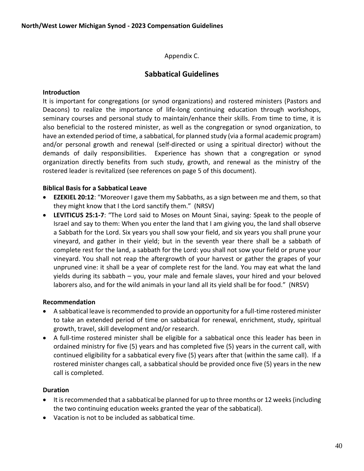Appendix C.

## **Sabbatical Guidelines**

#### **Introduction**

It is important for congregations (or synod organizations) and rostered ministers (Pastors and Deacons) to realize the importance of life-long continuing education through workshops, seminary courses and personal study to maintain/enhance their skills. From time to time, it is also beneficial to the rostered minister, as well as the congregation or synod organization, to have an extended period of time, a sabbatical, for planned study (via a formal academic program) and/or personal growth and renewal (self-directed or using a spiritual director) without the demands of daily responsibilities. Experience has shown that a congregation or synod organization directly benefits from such study, growth, and renewal as the ministry of the rostered leader is revitalized (see references on page 5 of this document).

#### **Biblical Basis for a Sabbatical Leave**

- **EZEKIEL 20:12**: "Moreover I gave them my Sabbaths, as a sign between me and them, so that they might know that I the Lord sanctify them." (NRSV)
- **LEVITICUS 25:1-7**: "The Lord said to Moses on Mount Sinai, saying: Speak to the people of Israel and say to them: When you enter the land that I am giving you, the land shall observe a Sabbath for the Lord. Six years you shall sow your field, and six years you shall prune your vineyard, and gather in their yield; but in the seventh year there shall be a sabbath of complete rest for the land, a sabbath for the Lord: you shall not sow your field or prune your vineyard. You shall not reap the aftergrowth of your harvest or gather the grapes of your unpruned vine: it shall be a year of complete rest for the land. You may eat what the land yields during its sabbath – you, your male and female slaves, your hired and your beloved laborers also, and for the wild animals in your land all its yield shall be for food." (NRSV)

#### **Recommendation**

- A sabbatical leave is recommended to provide an opportunity for a full-time rostered minister to take an extended period of time on sabbatical for renewal, enrichment, study, spiritual growth, travel, skill development and/or research.
- A full-time rostered minister shall be eligible for a sabbatical once this leader has been in ordained ministry for five (5) years and has completed five (5) years in the current call, with continued eligibility for a sabbatical every five (5) years after that (within the same call). If a rostered minister changes call, a sabbatical should be provided once five (5) years in the new call is completed.

#### **Duration**

- It is recommended that a sabbatical be planned for up to three months or 12 weeks (including the two continuing education weeks granted the year of the sabbatical).
- Vacation is not to be included as sabbatical time.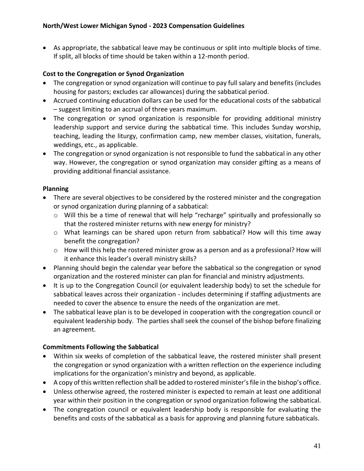• As appropriate, the sabbatical leave may be continuous or split into multiple blocks of time. If split, all blocks of time should be taken within a 12-month period.

## **Cost to the Congregation or Synod Organization**

- The congregation or synod organization will continue to pay full salary and benefits (includes housing for pastors; excludes car allowances) during the sabbatical period.
- Accrued continuing education dollars can be used for the educational costs of the sabbatical – suggest limiting to an accrual of three years maximum.
- The congregation or synod organization is responsible for providing additional ministry leadership support and service during the sabbatical time. This includes Sunday worship, teaching, leading the liturgy, confirmation camp, new member classes, visitation, funerals, weddings, etc., as applicable.
- The congregation or synod organization is not responsible to fund the sabbatical in any other way. However, the congregation or synod organization may consider gifting as a means of providing additional financial assistance.

## **Planning**

- There are several objectives to be considered by the rostered minister and the congregation or synod organization during planning of a sabbatical:
	- o Will this be a time of renewal that will help "recharge" spiritually and professionally so that the rostered minister returns with new energy for ministry?
	- o What learnings can be shared upon return from sabbatical? How will this time away benefit the congregation?
	- o How will this help the rostered minister grow as a person and as a professional? How will it enhance this leader's overall ministry skills?
- Planning should begin the calendar year before the sabbatical so the congregation or synod organization and the rostered minister can plan for financial and ministry adjustments.
- It is up to the Congregation Council (or equivalent leadership body) to set the schedule for sabbatical leaves across their organization - includes determining if staffing adjustments are needed to cover the absence to ensure the needs of the organization are met.
- The sabbatical leave plan is to be developed in cooperation with the congregation council or equivalent leadership body. The parties shall seek the counsel of the bishop before finalizing an agreement.

## **Commitments Following the Sabbatical**

- Within six weeks of completion of the sabbatical leave, the rostered minister shall present the congregation or synod organization with a written reflection on the experience including implications for the organization's ministry and beyond, as applicable.
- A copy of this written reflection shall be added to rostered minister's file in the bishop's office.
- Unless otherwise agreed, the rostered minister is expected to remain at least one additional year within their position in the congregation or synod organization following the sabbatical.
- The congregation council or equivalent leadership body is responsible for evaluating the benefits and costs of the sabbatical as a basis for approving and planning future sabbaticals.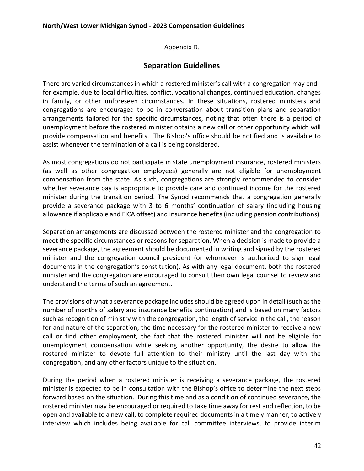Appendix D.

## **Separation Guidelines**

There are varied circumstances in which a rostered minister's call with a congregation may end for example, due to local difficulties, conflict, vocational changes, continued education, changes in family, or other unforeseen circumstances. In these situations, rostered ministers and congregations are encouraged to be in conversation about transition plans and separation arrangements tailored for the specific circumstances, noting that often there is a period of unemployment before the rostered minister obtains a new call or other opportunity which will provide compensation and benefits. The Bishop's office should be notified and is available to assist whenever the termination of a call is being considered.

As most congregations do not participate in state unemployment insurance, rostered ministers (as well as other congregation employees) generally are not eligible for unemployment compensation from the state. As such, congregations are strongly recommended to consider whether severance pay is appropriate to provide care and continued income for the rostered minister during the transition period. The Synod recommends that a congregation generally provide a severance package with 3 to 6 months' continuation of salary (including housing allowance if applicable and FICA offset) and insurance benefits (including pension contributions).

Separation arrangements are discussed between the rostered minister and the congregation to meet the specific circumstances or reasons for separation. When a decision is made to provide a severance package, the agreement should be documented in writing and signed by the rostered minister and the congregation council president (or whomever is authorized to sign legal documents in the congregation's constitution). As with any legal document, both the rostered minister and the congregation are encouraged to consult their own legal counsel to review and understand the terms of such an agreement.

The provisions of what a severance package includes should be agreed upon in detail (such as the number of months of salary and insurance benefits continuation) and is based on many factors such as recognition of ministry with the congregation, the length of service in the call, the reason for and nature of the separation, the time necessary for the rostered minister to receive a new call or find other employment, the fact that the rostered minister will not be eligible for unemployment compensation while seeking another opportunity, the desire to allow the rostered minister to devote full attention to their ministry until the last day with the congregation, and any other factors unique to the situation.

During the period when a rostered minister is receiving a severance package, the rostered minister is expected to be in consultation with the Bishop's office to determine the next steps forward based on the situation. During this time and as a condition of continued severance, the rostered minister may be encouraged or required to take time away for rest and reflection, to be open and available to a new call, to complete required documents in a timely manner, to actively interview which includes being available for call committee interviews, to provide interim